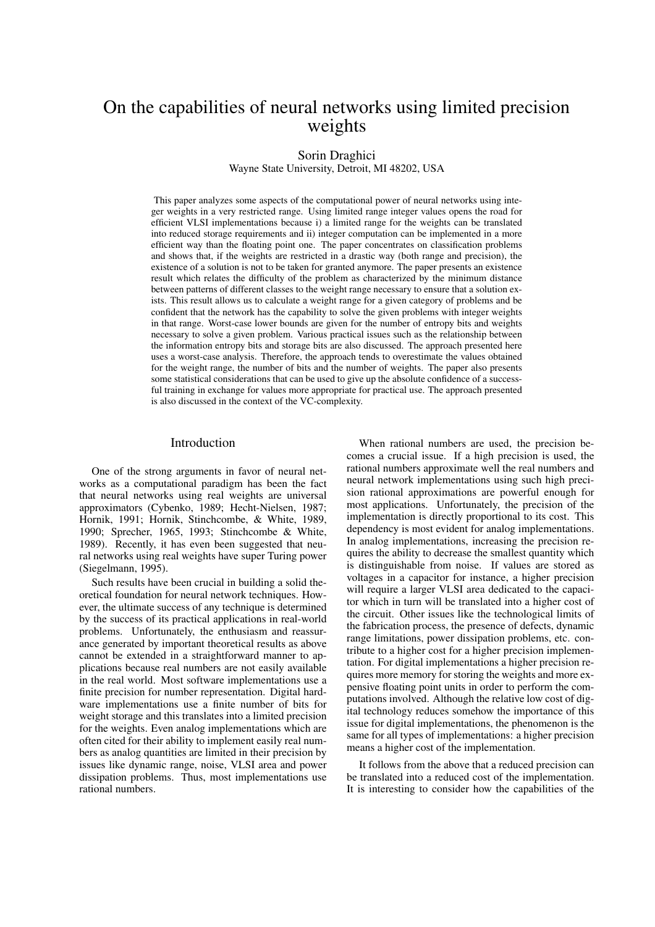# On the capabilities of neural networks using limited precision weights

# Sorin Draghici

Wayne State University, Detroit, MI 48202, USA

This paper analyzes some aspects of the computational power of neural networks using integer weights in a very restricted range. Using limited range integer values opens the road for efficient VLSI implementations because i) a limited range for the weights can be translated into reduced storage requirements and ii) integer computation can be implemented in a more efficient way than the floating point one. The paper concentrates on classification problems and shows that, if the weights are restricted in a drastic way (both range and precision), the existence of a solution is not to be taken for granted anymore. The paper presents an existence result which relates the difficulty of the problem as characterized by the minimum distance between patterns of different classes to the weight range necessary to ensure that a solution exists. This result allows us to calculate a weight range for a given category of problems and be confident that the network has the capability to solve the given problems with integer weights in that range. Worst-case lower bounds are given for the number of entropy bits and weights necessary to solve a given problem. Various practical issues such as the relationship between the information entropy bits and storage bits are also discussed. The approach presented here uses a worst-case analysis. Therefore, the approach tends to overestimate the values obtained for the weight range, the number of bits and the number of weights. The paper also presents some statistical considerations that can be used to give up the absolute confidence of a successful training in exchange for values more appropriate for practical use. The approach presented is also discussed in the context of the VC-complexity.

# Introduction

One of the strong arguments in favor of neural networks as a computational paradigm has been the fact that neural networks using real weights are universal approximators (Cybenko, 1989; Hecht-Nielsen, 1987; Hornik, 1991; Hornik, Stinchcombe, & White, 1989, 1990; Sprecher, 1965, 1993; Stinchcombe & White, 1989). Recently, it has even been suggested that neural networks using real weights have super Turing power (Siegelmann, 1995).

Such results have been crucial in building a solid theoretical foundation for neural network techniques. However, the ultimate success of any technique is determined by the success of its practical applications in real-world problems. Unfortunately, the enthusiasm and reassurance generated by important theoretical results as above cannot be extended in a straightforward manner to applications because real numbers are not easily available in the real world. Most software implementations use a finite precision for number representation. Digital hardware implementations use a finite number of bits for weight storage and this translates into a limited precision for the weights. Even analog implementations which are often cited for their ability to implement easily real numbers as analog quantities are limited in their precision by issues like dynamic range, noise, VLSI area and power dissipation problems. Thus, most implementations use rational numbers.

When rational numbers are used, the precision becomes a crucial issue. If a high precision is used, the rational numbers approximate well the real numbers and neural network implementations using such high precision rational approximations are powerful enough for most applications. Unfortunately, the precision of the implementation is directly proportional to its cost. This dependency is most evident for analog implementations. In analog implementations, increasing the precision requires the ability to decrease the smallest quantity which is distinguishable from noise. If values are stored as voltages in a capacitor for instance, a higher precision will require a larger VLSI area dedicated to the capacitor which in turn will be translated into a higher cost of the circuit. Other issues like the technological limits of the fabrication process, the presence of defects, dynamic range limitations, power dissipation problems, etc. contribute to a higher cost for a higher precision implementation. For digital implementations a higher precision requires more memory for storing the weights and more expensive floating point units in order to perform the computations involved. Although the relative low cost of digital technology reduces somehow the importance of this issue for digital implementations, the phenomenon is the same for all types of implementations: a higher precision means a higher cost of the implementation.

It follows from the above that a reduced precision can be translated into a reduced cost of the implementation. It is interesting to consider how the capabilities of the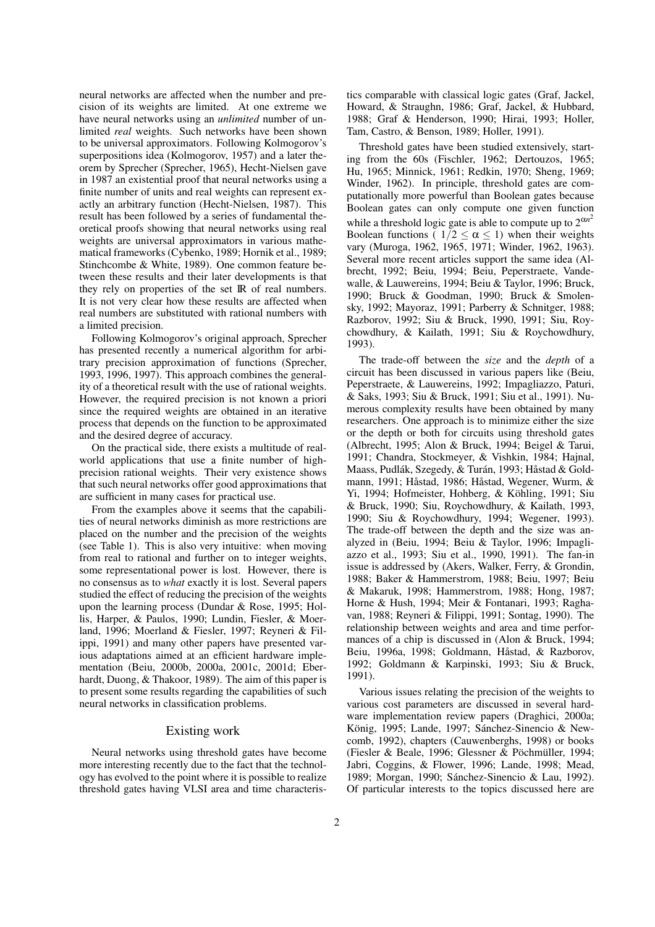neural networks are affected when the number and precision of its weights are limited. At one extreme we have neural networks using an *unlimited* number of unlimited *real* weights. Such networks have been shown to be universal approximators. Following Kolmogorov's superpositions idea (Kolmogorov, 1957) and a later theorem by Sprecher (Sprecher, 1965), Hecht-Nielsen gave in 1987 an existential proof that neural networks using a finite number of units and real weights can represent exactly an arbitrary function (Hecht-Nielsen, 1987). This result has been followed by a series of fundamental theoretical proofs showing that neural networks using real weights are universal approximators in various mathematical frameworks(Cybenko, 1989; Hornik et al., 1989; Stinchcombe & White, 1989). One common feature between these results and their later developments is that they rely on properties of the set IR of real numbers. It is not very clear how these results are affected when real numbers are substituted with rational numbers with a limited precision.

Following Kolmogorov's original approach, Sprecher has presented recently a numerical algorithm for arbitrary precision approximation of functions (Sprecher, 1993, 1996, 1997). This approach combines the generality of a theoretical result with the use of rational weights. However, the required precision is not known a priori since the required weights are obtained in an iterative process that depends on the function to be approximated and the desired degree of accuracy.

On the practical side, there exists a multitude of realworld applications that use a finite number of highprecision rational weights. Their very existence shows that such neural networks offer good approximations that are sufficient in many cases for practical use.

From the examples above it seems that the capabilities of neural networks diminish as more restrictions are placed on the number and the precision of the weights (see Table 1). This is also very intuitive: when moving from real to rational and further on to integer weights, some representational power is lost. However, there is no consensus as to *what* exactly it is lost. Several papers studied the effect of reducing the precision of the weights upon the learning process (Dundar & Rose, 1995; Hollis, Harper, & Paulos, 1990; Lundin, Fiesler, & Moerland, 1996; Moerland & Fiesler, 1997; Reyneri & Filippi, 1991) and many other papers have presented various adaptations aimed at an efficient hardware implementation (Beiu, 2000b, 2000a, 2001c, 2001d; Eberhardt, Duong, & Thakoor, 1989). The aim of this paper is to present some results regarding the capabilities of such neural networks in classification problems.

#### Existing work

Neural networks using threshold gates have become more interesting recently due to the fact that the technology has evolved to the point where it is possible to realize threshold gates having VLSI area and time characteris-

tics comparable with classical logic gates (Graf, Jackel, Howard, & Straughn, 1986; Graf, Jackel, & Hubbard, 1988; Graf & Henderson, 1990; Hirai, 1993; Holler, Tam, Castro, & Benson, 1989; Holler, 1991).

Threshold gates have been studied extensively, starting from the 60s (Fischler, 1962; Dertouzos, 1965; Hu, 1965; Minnick, 1961; Redkin, 1970; Sheng, 1969; Winder, 1962). In principle, threshold gates are computationally more powerful than Boolean gates because Boolean gates can only compute one given function while a threshold logic gate is able to compute up to  $2^{\alpha n^2}$ Boolean functions (  $1/2 \le \alpha \le 1$ ) when their weights vary (Muroga, 1962, 1965, 1971; Winder, 1962, 1963). Several more recent articles support the same idea (Albrecht, 1992; Beiu, 1994; Beiu, Peperstraete, Vandewalle, & Lauwereins, 1994; Beiu & Taylor, 1996; Bruck, 1990; Bruck & Goodman, 1990; Bruck & Smolensky, 1992; Mayoraz, 1991; Parberry & Schnitger, 1988; Razborov, 1992; Siu & Bruck, 1990, 1991; Siu, Roychowdhury, & Kailath, 1991; Siu & Roychowdhury, 1993).

The trade-off between the *size* and the *depth* of a circuit has been discussed in various papers like (Beiu, Peperstraete, & Lauwereins, 1992; Impagliazzo, Paturi, & Saks, 1993; Siu & Bruck, 1991; Siu et al., 1991). Numerous complexity results have been obtained by many researchers. One approach is to minimize either the size or the depth or both for circuits using threshold gates (Albrecht, 1995; Alon & Bruck, 1994; Beigel & Tarui, 1991; Chandra, Stockmeyer, & Vishkin, 1984; Hajnal, Maass, Pudlák, Szegedy, & Turán, 1993; Håstad & Goldmann, 1991; Håstad, 1986; Håstad, Wegener, Wurm, & Yi, 1994; Hofmeister, Hohberg, & Köhling, 1991; Siu & Bruck, 1990; Siu, Roychowdhury, & Kailath, 1993, 1990; Siu & Roychowdhury, 1994; Wegener, 1993). The trade-off between the depth and the size was analyzed in (Beiu, 1994; Beiu & Taylor, 1996; Impagliazzo et al., 1993; Siu et al., 1990, 1991). The fan-in issue is addressed by (Akers, Walker, Ferry, & Grondin, 1988; Baker & Hammerstrom, 1988; Beiu, 1997; Beiu & Makaruk, 1998; Hammerstrom, 1988; Hong, 1987; Horne & Hush, 1994; Meir & Fontanari, 1993; Raghavan, 1988; Reyneri & Filippi, 1991; Sontag, 1990). The relationship between weights and area and time performances of a chip is discussed in (Alon & Bruck, 1994; Beiu, 1996a, 1998; Goldmann, Håstad, & Razborov, 1992; Goldmann & Karpinski, 1993; Siu & Bruck, 1991).

Various issues relating the precision of the weights to various cost parameters are discussed in several hardware implementation review papers (Draghici, 2000a; König, 1995; Lande, 1997; Sánchez-Sinencio & Newcomb, 1992), chapters (Cauwenberghs, 1998) or books (Fiesler & Beale, 1996; Glessner & Pöchmüller, 1994; Jabri, Coggins, & Flower, 1996; Lande, 1998; Mead, 1989; Morgan, 1990; Sánchez-Sinencio & Lau, 1992). Of particular interests to the topics discussed here are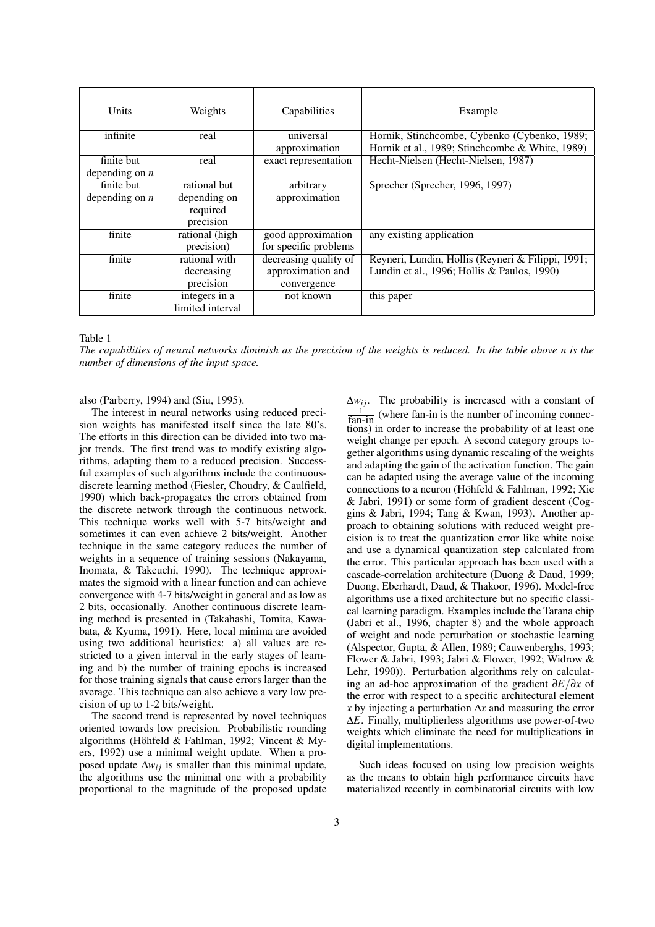| Units            | Weights          | Capabilities          | Example                                           |
|------------------|------------------|-----------------------|---------------------------------------------------|
| infinite         | real             | universal             | Hornik, Stinchcombe, Cybenko (Cybenko, 1989;      |
|                  |                  | approximation         | Hornik et al., 1989; Stinchcombe & White, 1989)   |
| finite but       | real             | exact representation  | Hecht-Nielsen (Hecht-Nielsen, 1987)               |
| depending on $n$ |                  |                       |                                                   |
| finite but       | rational but     | arbitrary             | Sprecher (Sprecher, 1996, 1997)                   |
| depending on $n$ | depending on     | approximation         |                                                   |
|                  | required         |                       |                                                   |
|                  | precision        |                       |                                                   |
| finite           | rational (high   | good approximation    | any existing application                          |
|                  | precision)       | for specific problems |                                                   |
| finite           | rational with    | decreasing quality of | Reyneri, Lundin, Hollis (Reyneri & Filippi, 1991; |
|                  | decreasing       | approximation and     | Lundin et al., 1996; Hollis & Paulos, 1990)       |
|                  | precision        | convergence           |                                                   |
| finite           | integers in a    | not known             | this paper                                        |
|                  | limited interval |                       |                                                   |

#### Table 1

The capabilities of neural networks diminish as the precision of the weights is reduced. In the table above n is the *number of dimensions of the input space.*

also (Parberry, 1994) and (Siu, 1995).

The interest in neural networks using reduced precision weights has manifested itself since the late 80's. The efforts in this direction can be divided into two major trends. The first trend was to modify existing algorithms, adapting them to a reduced precision. Successful examples of such algorithms include the continuousdiscrete learning method (Fiesler, Choudry, & Caulfield, 1990) which back-propagates the errors obtained from the discrete network through the continuous network. This technique works well with 5-7 bits/weight and sometimes it can even achieve 2 bits/weight. Another technique in the same category reduces the number of weights in a sequence of training sessions (Nakayama, Inomata, & Takeuchi, 1990). The technique approximates the sigmoid with a linear function and can achieve convergence with 4-7 bits/weight in general and as low as 2 bits, occasionally. Another continuous discrete learning method is presented in (Takahashi, Tomita, Kawabata, & Kyuma, 1991). Here, local minima are avoided using two additional heuristics: a) all values are restricted to a given interval in the early stages of learning and b) the number of training epochs is increased for those training signals that cause errors larger than the average. This technique can also achieve a very low precision of up to 1-2 bits/weight.

The second trend is represented by novel techniques oriented towards low precision. Probabilistic rounding algorithms (Höhfeld & Fahlman, 1992; Vincent & Myers, 1992) use a minimal weight update. When a proposed update  $\Delta w_{ij}$  is smaller than this minimal update, the algorithms use the minimal one with a probability proportional to the magnitude of the proposed update

 $\Delta w_{ij}$ . The probability is increased with a constant of  $\frac{1}{\tan^{-1}n}$  (where fan-in is the number of incoming connections) in order to increase the probability of at least one weight change per epoch. A second category groups together algorithms using dynamic rescaling of the weights and adapting the gain of the activation function. The gain can be adapted using the average value of the incoming connections to a neuron (Höhfeld & Fahlman, 1992; Xie & Jabri, 1991) or some form of gradient descent (Coggins & Jabri, 1994; Tang & Kwan, 1993). Another approach to obtaining solutions with reduced weight precision is to treat the quantization error like white noise and use a dynamical quantization step calculated from the error. This particular approach has been used with a cascade-correlation architecture (Duong & Daud, 1999; Duong, Eberhardt, Daud, & Thakoor, 1996). Model-free algorithms use a fixed architecture but no specific classical learning paradigm. Examples include the Tarana chip (Jabri et al., 1996, chapter 8) and the whole approach of weight and node perturbation or stochastic learning (Alspector, Gupta, & Allen, 1989; Cauwenberghs, 1993; Flower & Jabri, 1993; Jabri & Flower, 1992; Widrow & Lehr, 1990)). Perturbation algorithms rely on calculating an ad-hoc approximation of the gradient ∂*E*/∂*x* of the error with respect to a specific architectural element *x* by injecting a perturbation ∆*x* and measuring the error ∆*E*. Finally, multiplierless algorithms use power-of-two weights which eliminate the need for multiplications in digital implementations.

Such ideas focused on using low precision weights as the means to obtain high performance circuits have materialized recently in combinatorial circuits with low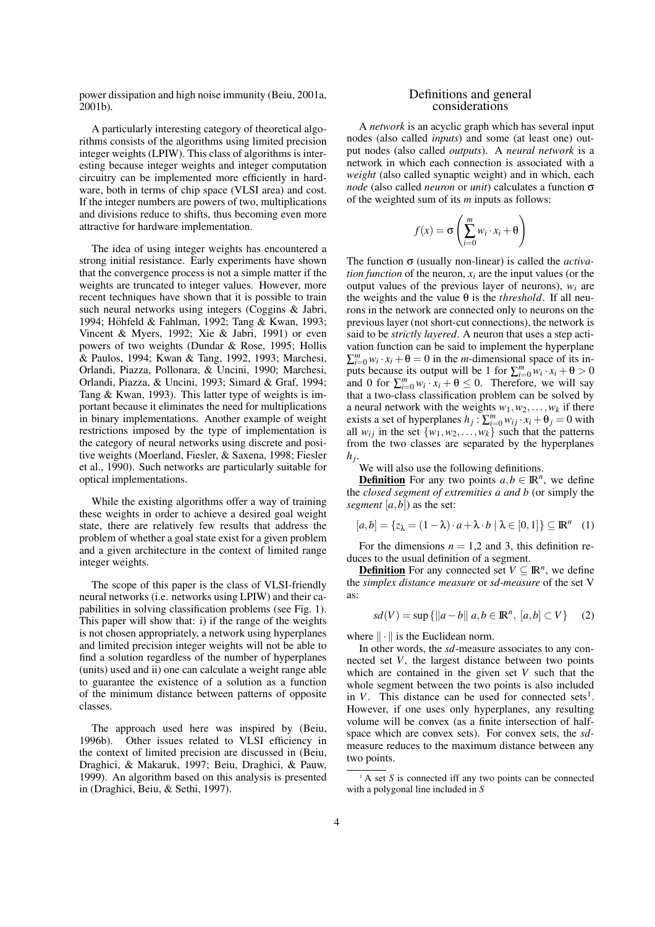power dissipation and high noise immunity (Beiu, 2001a, 2001b).

A particularly interesting category of theoretical algorithms consists of the algorithms using limited precision integer weights (LPIW). This class of algorithms is interesting because integer weights and integer computation circuitry can be implemented more efficiently in hardware, both in terms of chip space (VLSI area) and cost. If the integer numbers are powers of two, multiplications and divisions reduce to shifts, thus becoming even more attractive for hardware implementation.

The idea of using integer weights has encountered a strong initial resistance. Early experiments have shown that the convergence process is not a simple matter if the weights are truncated to integer values. However, more recent techniques have shown that it is possible to train such neural networks using integers (Coggins & Jabri, 1994; Höhfeld & Fahlman, 1992; Tang & Kwan, 1993; Vincent & Myers, 1992; Xie & Jabri, 1991) or even powers of two weights (Dundar & Rose, 1995; Hollis & Paulos, 1994; Kwan & Tang, 1992, 1993; Marchesi, Orlandi, Piazza, Pollonara, & Uncini, 1990; Marchesi, Orlandi, Piazza, & Uncini, 1993; Simard & Graf, 1994; Tang & Kwan, 1993). This latter type of weights is important because it eliminates the need for multiplications in binary implementations. Another example of weight restrictions imposed by the type of implementation is the category of neural networks using discrete and positive weights (Moerland, Fiesler, & Saxena, 1998; Fiesler et al., 1990). Such networks are particularly suitable for optical implementations.

While the existing algorithms offer a way of training these weights in order to achieve a desired goal weight state, there are relatively few results that address the problem of whether a goal state exist for a given problem and a given architecture in the context of limited range integer weights.

The scope of this paper is the class of VLSI-friendly neural networks (i.e. networks using LPIW) and their capabilities in solving classification problems (see Fig. 1). This paper will show that: i) if the range of the weights is not chosen appropriately, a network using hyperplanes and limited precision integer weights will not be able to find a solution regardless of the number of hyperplanes (units) used and ii) one can calculate a weight range able to guarantee the existence of a solution as a function of the minimum distance between patterns of opposite classes.

The approach used here was inspired by (Beiu, 1996b). Other issues related to VLSI efficiency in the context of limited precision are discussed in (Beiu, Draghici, & Makaruk, 1997; Beiu, Draghici, & Pauw, 1999). An algorithm based on this analysis is presented in (Draghici, Beiu, & Sethi, 1997).

#### Definitions and general considerations

A *network* is an acyclic graph which has several input nodes (also called *inputs*) and some (at least one) output nodes (also called *outputs*). A *neural network* is a network in which each connection is associated with a *weight* (also called synaptic weight) and in which, each *node* (also called *neuron* or *unit*) calculates a function σ of the weighted sum of its *m* inputs as follows:

$$
f(x) = \sigma\left(\sum_{i=0}^{m} w_i \cdot x_i + \theta\right)
$$

The function σ (usually non-linear) is called the *activation function* of the neuron,  $x_i$  are the input values (or the output values of the previous layer of neurons),  $w_i$  are the weights and the value  $\theta$  is the *threshold*. If all neurons in the network are connected only to neurons on the previous layer (not short-cut connections), the network is said to be *strictly layered*. A neuron that uses a step activation function can be said to implement the hyperplane  $\sum_{i=0}^{m} w_i \cdot x_i + \theta = 0$  in the *m*-dimensional space of its inputs because its output will be 1 for  $\sum_{i=0}^{m} w_i \cdot x_i + \theta > 0$ and 0 for  $\sum_{i=0}^{m} w_i \cdot x_i + \theta \leq 0$ . Therefore, we will say that a two-class classification problem can be solved by a neural network with the weights  $w_1, w_2, \ldots, w_k$  if there exists a set of hyperplanes  $h_j$ :  $\sum_{i=0}^{m} w_{ij} \cdot x_i + \theta_j = 0$  with all  $w_{ij}$  in the set  $\{w_1, w_2, \ldots, w_k\}$  such that the patterns from the two classes are separated by the hyperplanes *hj* .

We will also use the following definitions.

**Definition** For any two points  $a, b \in \mathbb{R}^n$ , we define the *closed segment of extremities a and b* (or simply the *segment*  $[a,b]$  *as the set:* 

$$
[a,b] = \{z_{\lambda} = (1-\lambda) \cdot a + \lambda \cdot b \mid \lambda \in [0,1]\} \subseteq \mathbb{R}^n \quad (1)
$$

For the dimensions  $n = 1,2$  and 3, this definition reduces to the usual definition of a segment.

**Definition** For any connected set  $V \subseteq \mathbb{R}^n$ , we define the *simplex distance measure* or *sd-measure* of the set V as:

$$
sd(V) = \sup \{ ||a - b|| \ a, b \in \mathbb{R}^n, [a, b] \subset V \} \tag{2}
$$

where  $\|\cdot\|$  is the Euclidean norm.

In other words, the *sd*-measure associates to any connected set *V*, the largest distance between two points which are contained in the given set *V* such that the whole segment between the two points is also included in  $V$ . This distance can be used for connected sets<sup>1</sup>. However, if one uses only hyperplanes, any resulting volume will be convex (as a finite intersection of halfspace which are convex sets). For convex sets, the *sd*measure reduces to the maximum distance between any two points.

 $\frac{1}{1}$  A set *S* is connected iff any two points can be connected with a polygonal line included in *S*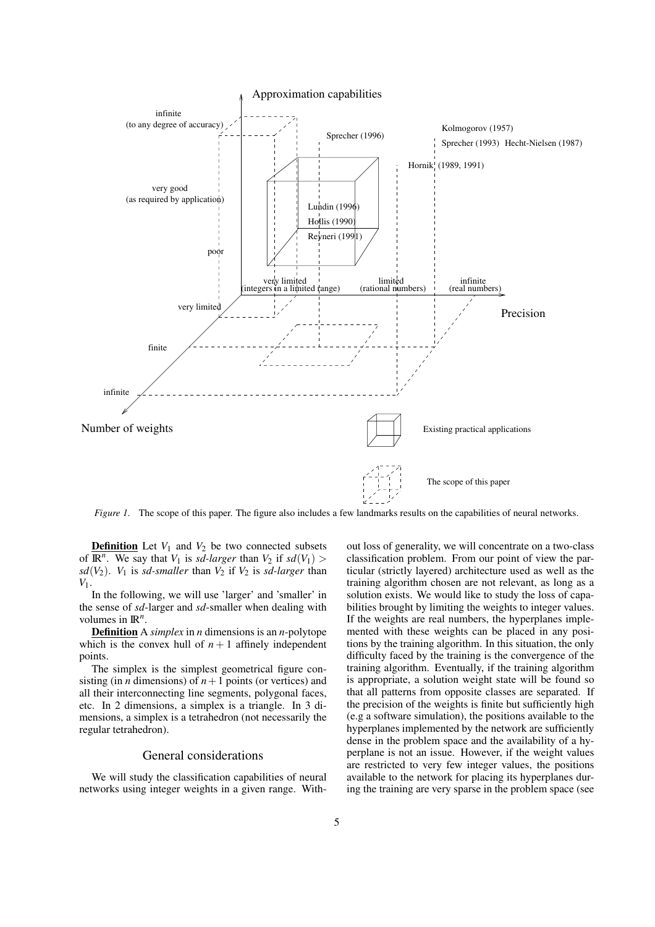

*Figure* 1. The scope of this paper. The figure also includes a few landmarks results on the capabilities of neural networks.

**Definition** Let  $V_1$  and  $V_2$  be two connected subsets of  $\overline{\mathbb{R}^n}$ . We say that  $V_1$  is *sd-larger* than  $V_2$  if  $sd(V_1)$ *sd*( $V_2$ ).  $V_1$  is *sd-smaller* than  $V_2$  if  $V_2$  is *sd-larger* than *V*1.

In the following, we will use 'larger' and 'smaller' in the sense of *sd*-larger and *sd*-smaller when dealing with volumes in  $\mathbb{R}^n$ .

**Definition** A *simplex* in *n* dimensions is an *n*-polytope which is the convex hull of  $n + 1$  affinely independent points.

The simplex is the simplest geometrical figure consisting (in *n* dimensions) of  $n+1$  points (or vertices) and all their interconnecting line segments, polygonal faces, etc. In 2 dimensions, a simplex is a triangle. In 3 dimensions, a simplex is a tetrahedron (not necessarily the regular tetrahedron).

# General considerations

We will study the classification capabilities of neural networks using integer weights in a given range. With-

out loss of generality, we will concentrate on a two-class classification problem. From our point of view the particular (strictly layered) architecture used as well as the training algorithm chosen are not relevant, as long as a solution exists. We would like to study the loss of capabilities brought by limiting the weights to integer values. If the weights are real numbers, the hyperplanes implemented with these weights can be placed in any positions by the training algorithm. In this situation, the only difficulty faced by the training is the convergence of the training algorithm. Eventually, if the training algorithm is appropriate, a solution weight state will be found so that all patterns from opposite classes are separated. If the precision of the weights is finite but sufficiently high (e.g a software simulation), the positions available to the hyperplanes implemented by the network are sufficiently dense in the problem space and the availability of a hyperplane is not an issue. However, if the weight values are restricted to very few integer values, the positions available to the network for placing its hyperplanes during the training are very sparse in the problem space (see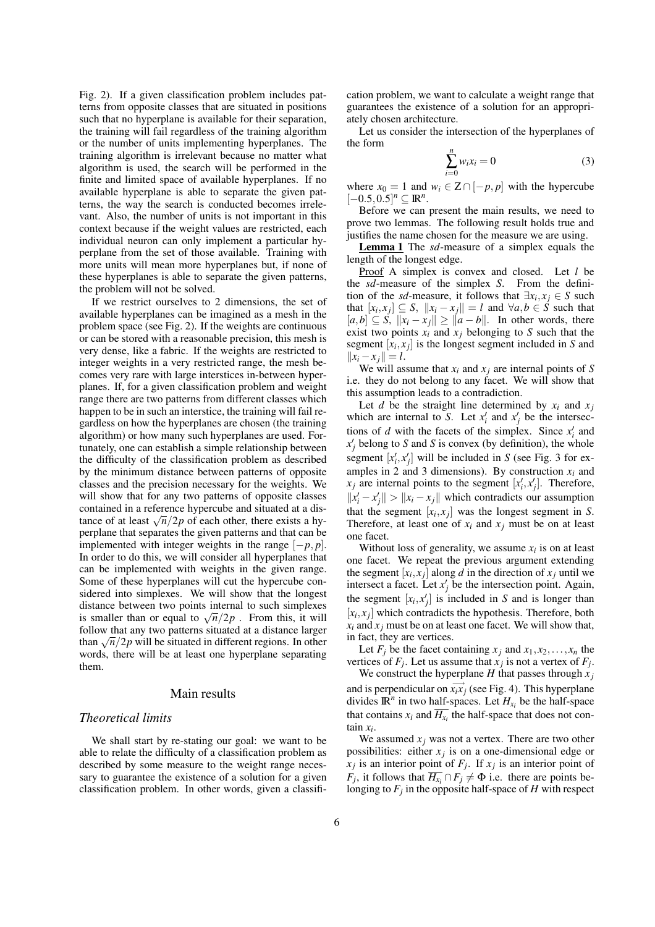Fig. 2). If a given classification problem includes patterns from opposite classes that are situated in positions such that no hyperplane is available for their separation, the training will fail regardless of the training algorithm or the number of units implementing hyperplanes. The training algorithm is irrelevant because no matter what algorithm is used, the search will be performed in the finite and limited space of available hyperplanes. If no available hyperplane is able to separate the given patterns, the way the search is conducted becomes irrelevant. Also, the number of units is not important in this context because if the weight values are restricted, each individual neuron can only implement a particular hyperplane from the set of those available. Training with more units will mean more hyperplanes but, if none of these hyperplanes is able to separate the given patterns, the problem will not be solved.

If we restrict ourselves to 2 dimensions, the set of available hyperplanes can be imagined as a mesh in the problem space (see Fig. 2). If the weights are continuous or can be stored with a reasonable precision, this mesh is very dense, like a fabric. If the weights are restricted to integer weights in a very restricted range, the mesh becomes very rare with large interstices in-between hyperplanes. If, for a given classification problem and weight range there are two patterns from different classes which happen to be in such an interstice, the training will fail regardless on how the hyperplanes are chosen (the training algorithm) or how many such hyperplanes are used. Fortunately, one can establish a simple relationship between the difficulty of the classification problem as described by the minimum distance between patterns of opposite classes and the precision necessary for the weights. We will show that for any two patterns of opposite classes contained in a reference hypercube and situated at a distance of at least  $\sqrt{n}/2p$  of each other, there exists a hyperplane that separates the given patterns and that can be implemented with integer weights in the range  $[-p, p]$ . In order to do this, we will consider all hyperplanes that can be implemented with weights in the given range. Some of these hyperplanes will cut the hypercube considered into simplexes. We will show that the longest distance between two points internal to such simplexes is smaller than or equal to  $\sqrt{n}/2p$ . From this, it will follow that any two patterns situated at a distance larger than  $\sqrt{n}/2p$  will be situated in different regions. In other words, there will be at least one hyperplane separating them.

#### Main results

## *Theoretical limits*

We shall start by re-stating our goal: we want to be able to relate the difficulty of a classification problem as described by some measure to the weight range necessary to guarantee the existence of a solution for a given classification problem. In other words, given a classification problem, we want to calculate a weight range that guarantees the existence of a solution for an appropriately chosen architecture.

Let us consider the intersection of the hyperplanes of the form *<sup>n</sup>*

$$
\sum_{i=0}^{n} w_i x_i = 0 \tag{3}
$$

where  $x_0 = 1$  and  $w_i \in Z \cap [-p, p]$  with the hypercube  $[-0.5, 0.5]$ <sup>n</sup> ⊆ **IR**<sup>n</sup>.

Before we can present the main results, we need to prove two lemmas. The following result holds true and justifies the name chosen for the measure we are using.

**Lemma 1** The *sd*-measure of a simplex equals the length of the longest edge.

Proof A simplex is convex and closed. Let *l* be the *sd*-measure of the simplex *S*. From the definition of the *sd*-measure, it follows that  $\exists x_i, x_j \in S$  such that  $[x_i, x_j] \subseteq S$ ,  $||x_i - x_j|| = l$  and  $\forall a, b \in S$  such that  $[a,b] \subseteq S$ ,  $\|\vec{x}_i - \vec{x}_j\| \ge \|a - b\|$ . In other words, there exist two points  $x_i$  and  $x_j$  belonging to *S* such that the segment  $[x_i, x_j]$  is the longest segment included in *S* and  $||x_i - x_j|| = l.$ 

We will assume that  $x_i$  and  $x_j$  are internal points of S i.e. they do not belong to any facet. We will show that this assumption leads to a contradiction.

Let *d* be the straight line determined by  $x_i$  and  $x_j$ which are internal to *S*. Let  $x'_i$  and  $x'_j$  be the intersections of *d* with the facets of the simplex. Since  $x_i'$  and  $x'_{j}$  belong to *S* and *S* is convex (by definition), the whole segment  $[x'_i, x'_j]$  will be included in *S* (see Fig. 3 for examples in 2 and 3 dimensions). By construction  $x_i$  and  $x_j$  are internal points to the segment  $[x'_i, x'_j]$ . Therefore,  $||x'_i - x'_j|| > ||x_i - x_j||$  which contradicts our assumption that the segment  $[x_i, x_j]$  was the longest segment in *S*. Therefore, at least one of  $x_i$  and  $x_j$  must be on at least one facet.

Without loss of generality, we assume  $x_i$  is on at least one facet. We repeat the previous argument extending the segment  $[x_i, x_j]$  along *d* in the direction of  $x_j$  until we intersect a facet. Let  $x'_j$  be the intersection point. Again, the segment  $[x_i, x'_j]$  is included in *S* and is longer than  $[x_i, x_j]$  which contradicts the hypothesis. Therefore, both  $x_i$  and  $x_j$  must be on at least one facet. We will show that, in fact, they are vertices.

Let  $F_i$  be the facet containing  $x_i$  and  $x_1, x_2, \ldots, x_n$  the vertices of  $F_j$ . Let us assume that  $x_j$  is not a vertex of  $F_j$ .

We construct the hyperplane *H* that passes through  $x_j$ and is perpendicular on  $\overrightarrow{x_i x_j}$  (see Fig. 4). This hyperplane divides  $\mathbb{R}^n$  in two half-spaces. Let  $H_{x_i}$  be the half-space that contains  $x_i$  and  $\overline{H_{x_i}}$  the half-space that does not contain *x<sup>i</sup>* .

We assumed  $x_j$  was not a vertex. There are two other possibilities: either  $x_j$  is on a one-dimensional edge or  $x_j$  is an interior point of  $F_j$ . If  $x_j$  is an interior point of *F*<sub>*j*</sub>, it follows that  $\overline{H_{x_i}} \cap F_j \neq \Phi$  i.e. there are points belonging to  $F_j$  in the opposite half-space of  $H$  with respect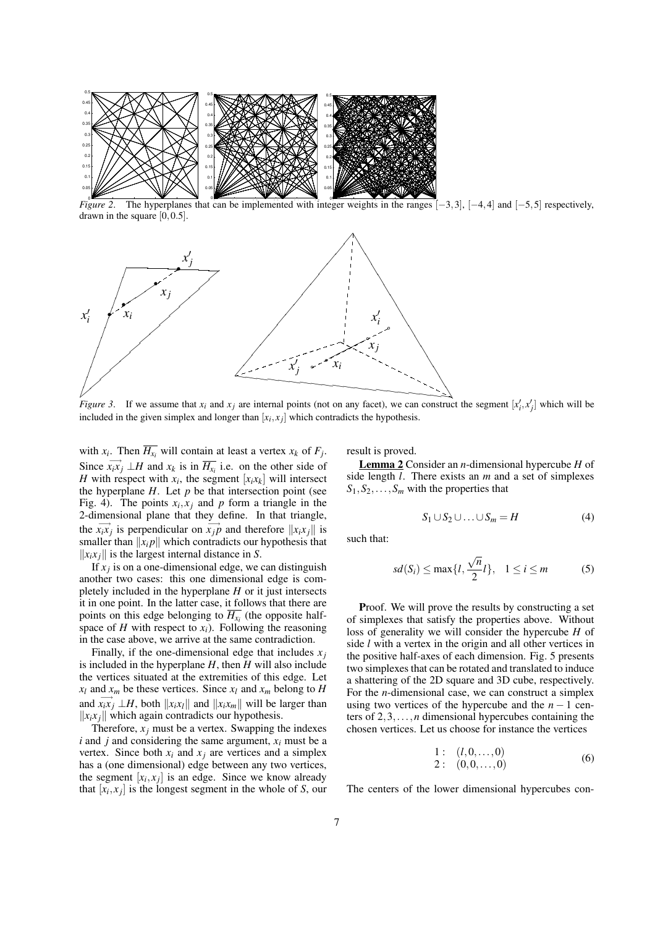

*Figure* 2. The hyperplanes that can be implemented with integer weights in the ranges [−3,3], [−4,4] and [−5,5] respectively, Figure 2. drawn in the square  $[0, 0.5]$ .



*Figure* 3. If we assume that  $x_i$  and  $x_j$  are internal points (not on any facet), we can construct the segment  $[x'_i, x'_j]$  which will be included in the given simplex and longer than  $[x_i, x_j]$  which contradicts the hypothesis.

with  $x_i$ . Then  $\overline{H_{x_i}}$  will contain at least a vertex  $x_k$  of  $F_j$ . Since  $\overrightarrow{x_i x_j} \perp H$  and  $x_k$  is in  $\overline{H_{x_i}}$  i.e. on the other side of *H* with respect with  $x_i$ , the segment  $[x_i x_k]$  will intersect the hyperplane  $H$ . Let  $p$  be that intersection point (see Fig. 4). The points  $x_i, x_j$  and p form a triangle in the 2-dimensional plane that they define. In that triangle, the  $\overrightarrow{x_i x_j}$  is perpendicular on  $\overrightarrow{x_j p}$  and therefore  $||x_i x_j||$  is smaller than  $||x_i p||$  which contradicts our hypothesis that  $\|x_i x_i\|$  is the largest internal distance in *S*.

If  $x_j$  is on a one-dimensional edge, we can distinguish another two cases: this one dimensional edge is completely included in the hyperplane *H* or it just intersects it in one point. In the latter case, it follows that there are points on this edge belonging to  $\overline{H_{x_i}}$  (the opposite halfspace of  $H$  with respect to  $x_i$ ). Following the reasoning in the case above, we arrive at the same contradiction.

Finally, if the one-dimensional edge that includes  $x_j$ is included in the hyperplane *H*, then *H* will also include the vertices situated at the extremities of this edge. Let  $x_l$  and  $x_m$  be these vertices. Since  $x_l$  and  $x_m$  belong to *H* and  $\overrightarrow{x_i x_j} \perp H$ , both  $\|x_i x_i\|$  and  $\|x_i x_m\|$  will be larger than  $\|x_i x_j\|$  which again contradicts our hypothesis.

Therefore,  $x_i$  must be a vertex. Swapping the indexes  $i$  and  $j$  and considering the same argument,  $x_i$  must be a vertex. Since both  $x_i$  and  $x_j$  are vertices and a simplex has a (one dimensional) edge between any two vertices, the segment  $[x_i, x_j]$  is an edge. Since we know already that  $[x_i, x_j]$  is the longest segment in the whole of *S*, our

result is proved.

**Lemma 2** Consider an *n*-dimensional hypercube *H* of side length *l*. There exists an *m* and a set of simplexes  $S_1, S_2, \ldots, S_m$  with the properties that

$$
S_1 \cup S_2 \cup \ldots \cup S_m = H \tag{4}
$$

such that:

$$
sd(S_i) \le \max\{l, \frac{\sqrt{n}}{2}l\}, \quad 1 \le i \le m \tag{5}
$$

**P**roof. We will prove the results by constructing a set of simplexes that satisfy the properties above. Without loss of generality we will consider the hypercube *H* of side *l* with a vertex in the origin and all other vertices in the positive half-axes of each dimension. Fig. 5 presents two simplexes that can be rotated and translated to induce a shattering of the 2D square and 3D cube, respectively. For the *n*-dimensional case, we can construct a simplex using two vertices of the hypercube and the  $n-1$  centers of 2,3,...,*n* dimensional hypercubes containing the chosen vertices. Let us choose for instance the vertices

$$
\begin{array}{rcl}\n1: & (l,0,\ldots,0) \\
2: & (0,0,\ldots,0)\n\end{array} \n\tag{6}
$$

The centers of the lower dimensional hypercubes con-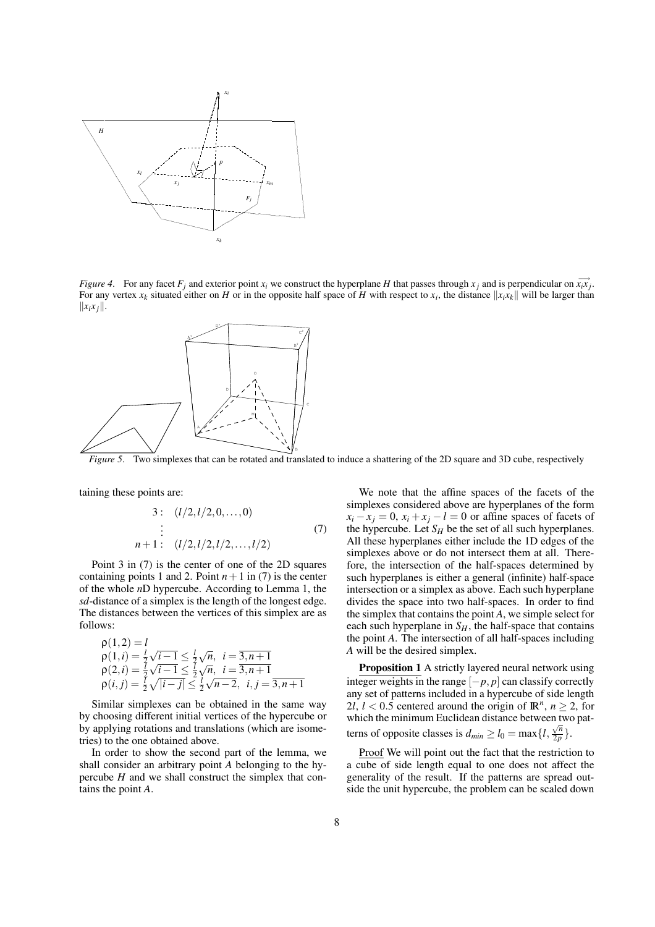

Figure 4. For any facet  $F_j$  and exterior point  $x_i$  we construct the hyperplane H that passes through  $x_j$  and is perpendicular on  $\overrightarrow{x_i x_j}$ . For any vertex  $x_k$  situated either on *H* or in the opposite half space of *H* with respect to  $x_i$ , the distance  $||x_i x_k||$  will be larger than  $\|x_i x_j\|$ .



*Figure 5*. Two simplexes that can be rotated and translated to induce a shattering of the 2D square and 3D cube, respectively

taining these points are:

3: 
$$
(l/2, l/2, 0, ..., 0)
$$
  
\n $\vdots$   
\n $n+1: (l/2, l/2, l/2, ..., l/2)$  (7)

Point 3 in (7) is the center of one of the 2D squares containing points 1 and 2. Point  $n+1$  in (7) is the center of the whole *n*D hypercube. According to Lemma 1, the *sd*-distance of a simplex is the length of the longest edge. The distances between the vertices of this simplex are as follows:

$$
\begin{array}{l}\n\rho(1,2) = l \\
\rho(1,i) = \frac{1}{2}\sqrt{i-1} \le \frac{1}{2}\sqrt{n}, \ \ i = \overline{3,n+1} \\
\rho(2,i) = \frac{1}{2}\sqrt{i-1} \le \frac{1}{2}\sqrt{n}, \ \ i = \overline{3,n+1} \\
\rho(i,j) = \frac{1}{2}\sqrt{|i-j|} \le \frac{1}{2}\sqrt{n-2}, \ \ i, j = \overline{3,n+1}\n\end{array}
$$

Similar simplexes can be obtained in the same way by choosing different initial vertices of the hypercube or by applying rotations and translations (which are isometries) to the one obtained above.

In order to show the second part of the lemma, we shall consider an arbitrary point *A* belonging to the hypercube *H* and we shall construct the simplex that contains the point *A*.

We note that the affine spaces of the facets of the simplexes considered above are hyperplanes of the form  $x_i - x_j = 0$ ,  $x_i + x_j - l = 0$  or affine spaces of facets of the hypercube. Let  $S_H$  be the set of all such hyperplanes. All these hyperplanes either include the 1D edges of the simplexes above or do not intersect them at all. Therefore, the intersection of the half-spaces determined by such hyperplanes is either a general (infinite) half-space intersection or a simplex as above. Each such hyperplane divides the space into two half-spaces. In order to find the simplex that contains the point *A*, we simple select for each such hyperplane in  $S_H$ , the half-space that contains the point *A*. The intersection of all half-spaces including *A* will be the desired simplex.

**Proposition 1** A strictly layered neural network using integer weights in the range  $[-p, p]$  can classify correctly any set of patterns included in a hypercube of side length 2*l*,  $l < 0.5$  centered around the origin of  $\mathbb{R}^n$ ,  $n \ge 2$ , for which the minimum Euclidean distance between two patterns of opposite classes is  $d_{min} \ge l_0 = \max\{l, \frac{\sqrt{n}}{2p}\}$  $\frac{\sqrt{n}}{2p}$ .

Proof We will point out the fact that the restriction to a cube of side length equal to one does not affect the generality of the result. If the patterns are spread outside the unit hypercube, the problem can be scaled down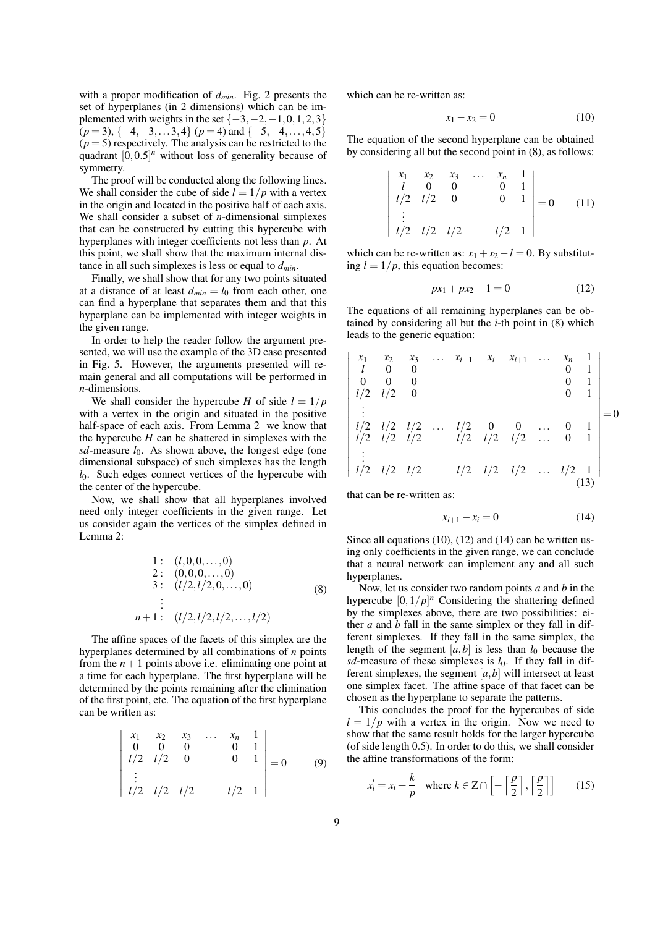with a proper modification of *dmin*. Fig. 2 presents the set of hyperplanes (in 2 dimensions) which can be implemented with weights in the set  $\{-3, -2, -1, 0, 1, 2, 3\}$ (*p* = 3), {−4,−3,...3,4} (*p* = 4) and {−5,−4,...,4,5}  $(p = 5)$  respectively. The analysis can be restricted to the quadrant  $[0, 0.5]^n$  without loss of generality because of symmetry.

The proof will be conducted along the following lines. We shall consider the cube of side  $l = 1/p$  with a vertex in the origin and located in the positive half of each axis. We shall consider a subset of *n*-dimensional simplexes that can be constructed by cutting this hypercube with hyperplanes with integer coefficients not less than *p*. At this point, we shall show that the maximum internal distance in all such simplexes is less or equal to *dmin*.

Finally, we shall show that for any two points situated at a distance of at least  $d_{min} = l_0$  from each other, one can find a hyperplane that separates them and that this hyperplane can be implemented with integer weights in the given range.

In order to help the reader follow the argument presented, we will use the example of the 3D case presented in Fig. 5. However, the arguments presented will remain general and all computations will be performed in *n*-dimensions.

We shall consider the hypercube *H* of side  $l = 1/p$ with a vertex in the origin and situated in the positive half-space of each axis. From Lemma 2 we know that the hypercube  $H$  can be shattered in simplexes with the  $sd$ -measure  $l_0$ . As shown above, the longest edge (one dimensional subspace) of such simplexes has the length *l*<sub>0</sub>. Such edges connect vertices of the hypercube with the center of the hypercube.

Now, we shall show that all hyperplanes involved need only integer coefficients in the given range. Let us consider again the vertices of the simplex defined in Lemma 2:

1: 
$$
(l,0,0,...,0)
$$
  
\n2:  $(0,0,0,...,0)$   
\n3:  $(l/2,l/2,0,...,0)$   
\n:  
\n $n+1$ :  $(l/2,l/2,l/2,...,l/2)$  (8)

The affine spaces of the facets of this simplex are the hyperplanes determined by all combinations of *n* points from the  $n+1$  points above i.e. eliminating one point at a time for each hyperplane. The first hyperplane will be determined by the points remaining after the elimination of the first point, etc. The equation of the first hyperplane can be written as:

$$
\begin{vmatrix} x_1 & x_2 & x_3 & \dots & x_n & 1 \\ 0 & 0 & 0 & 0 & 1 \\ l/2 & l/2 & 0 & 0 & 1 \\ \vdots & \vdots & \vdots & \vdots & \vdots & \vdots \\ l/2 & l/2 & l/2 & l/2 & 1 \end{vmatrix} = 0 \qquad (9)
$$

which can be re-written as:

$$
x_1 - x_2 = 0 \tag{10}
$$

The equation of the second hyperplane can be obtained by considering all but the second point in (8), as follows:

$$
\begin{vmatrix} x_1 & x_2 & x_3 & \dots & x_n & 1 \\ l & 0 & 0 & 0 & 1 \\ l/2 & l/2 & 0 & 0 & 1 \\ \vdots & & & & \\ l/2 & l/2 & l/2 & l/2 & 1 \end{vmatrix} = 0 \quad (11)
$$

which can be re-written as:  $x_1 + x_2 - l = 0$ . By substituting  $l = 1/p$ , this equation becomes:

$$
px_1 + px_2 - 1 = 0 \tag{12}
$$

The equations of all remaining hyperplanes can be obtained by considering all but the *i*-th point in (8) which leads to the generic equation:

*x*<sup>1</sup> *x*<sup>2</sup> *x*<sup>3</sup> ... *xi*−<sup>1</sup> *x<sup>i</sup> xi*+<sup>1</sup> ... *x<sup>n</sup>* 1 *l* 0 0 0 1 0 0 0 0 1 *l*/2 *l*/2 0 0 1 . . . *l*/2 *l*/2 *l*/2 ... *l*/2 0 0 ... 0 1 *l*/2 *l*/2 *l*/2 *l*/2 *l*/2 *l*/2 ... 0 1 . . . *l*/2 *l*/2 *l*/2 *l*/2 *l*/2 *l*/2 ... *l*/2 1 = 0 (13)

that can be re-written as:

 $\overline{\phantom{a}}$  $\overline{\phantom{a}}$  $\overline{\phantom{a}}$  $\overline{\phantom{a}}$  $\overline{\phantom{a}}$  $\overline{\phantom{a}}$  $\overline{\phantom{a}}$  $\mathcal{L}$  $\overline{\phantom{a}}$  $\overline{\phantom{a}}$  $\overline{\phantom{a}}$  $\overline{\phantom{a}}$  $\overline{\phantom{a}}$  $\overline{\phantom{a}}$  $\overline{\phantom{a}}$  $\overline{\phantom{a}}$  $\overline{\phantom{a}}$  $\overline{\phantom{a}}$  $\mid$ 

$$
x_{i+1} - x_i = 0 \tag{14}
$$

Since all equations (10), (12) and (14) can be written using only coefficients in the given range, we can conclude that a neural network can implement any and all such hyperplanes.

Now, let us consider two random points *a* and *b* in the hypercube  $[0,1/p]^n$  Considering the shattering defined by the simplexes above, there are two possibilities: either *a* and *b* fall in the same simplex or they fall in different simplexes. If they fall in the same simplex, the length of the segment  $[a,b]$  is less than  $l_0$  because the *sd*-measure of these simplexes is  $l_0$ . If they fall in different simplexes, the segment  $[a, b]$  will intersect at least one simplex facet. The affine space of that facet can be chosen as the hyperplane to separate the patterns.

This concludes the proof for the hypercubes of side  $l = 1/p$  with a vertex in the origin. Now we need to show that the same result holds for the larger hypercube (of side length 0.5). In order to do this, we shall consider the affine transformations of the form:

$$
x'_{i} = x_{i} + \frac{k}{p} \quad \text{where } k \in \mathbb{Z} \cap \left[ -\left\lceil \frac{p}{2} \right\rceil, \left\lceil \frac{p}{2} \right\rceil \right] \tag{15}
$$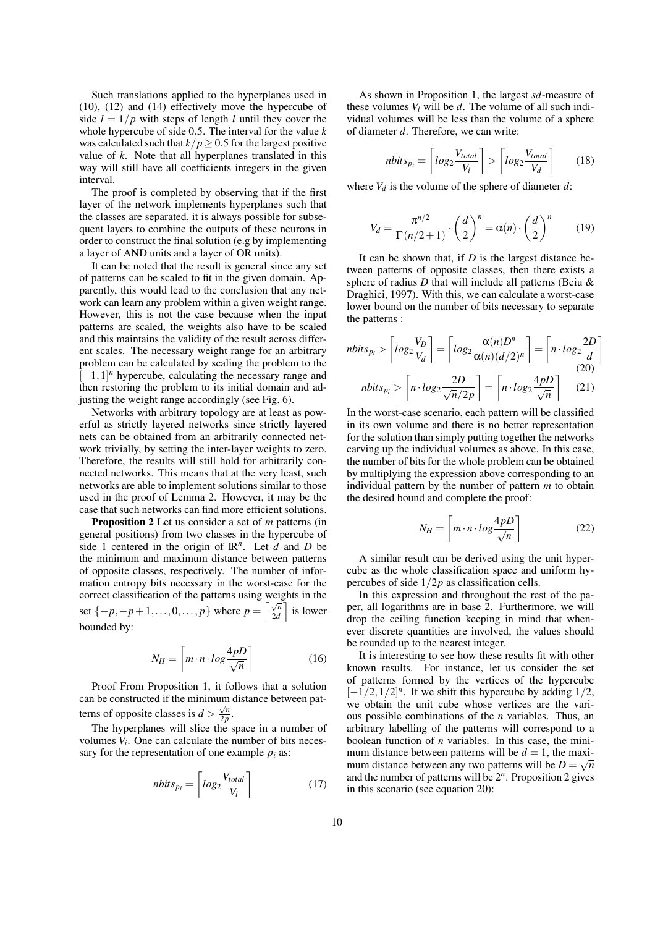Such translations applied to the hyperplanes used in (10), (12) and (14) effectively move the hypercube of side  $l = 1/p$  with steps of length *l* until they cover the whole hypercube of side 0.5. The interval for the value *k* was calculated such that  $k/p \ge 0.5$  for the largest positive value of *k*. Note that all hyperplanes translated in this way will still have all coefficients integers in the given interval.

The proof is completed by observing that if the first layer of the network implements hyperplanes such that the classes are separated, it is always possible for subsequent layers to combine the outputs of these neurons in order to construct the final solution (e.g by implementing a layer of AND units and a layer of OR units).

It can be noted that the result is general since any set of patterns can be scaled to fit in the given domain. Apparently, this would lead to the conclusion that any network can learn any problem within a given weight range. However, this is not the case because when the input patterns are scaled, the weights also have to be scaled and this maintains the validity of the result across different scales. The necessary weight range for an arbitrary problem can be calculated by scaling the problem to the [−1,1] *<sup>n</sup>* hypercube, calculating the necessary range and then restoring the problem to its initial domain and adjusting the weight range accordingly (see Fig. 6).

Networks with arbitrary topology are at least as powerful as strictly layered networks since strictly layered nets can be obtained from an arbitrarily connected network trivially, by setting the inter-layer weights to zero. Therefore, the results will still hold for arbitrarily connected networks. This means that at the very least, such networks are able to implement solutions similar to those used in the proof of Lemma 2. However, it may be the case that such networks can find more efficient solutions.

**Proposition 2** Let us consider a set of *m* patterns (in general positions) from two classes in the hypercube of side 1 centered in the origin of  $\mathbb{R}^n$ . Let  $\overrightarrow{d}$  and  $\overrightarrow{D}$  be the minimum and maximum distance between patterns of opposite classes, respectively. The number of information entropy bits necessary in the worst-case for the correct classification of the patterns using weights in the set  $\{-p, -p+1, \ldots, 0, \ldots, p\}$  where  $p = \left[\frac{\sqrt{n}}{2d}\right]$  $\sqrt{\frac{n}{2d}}$  is lower bounded by:

$$
N_H = \left[ m \cdot n \cdot \log \frac{4pD}{\sqrt{n}} \right] \tag{16}
$$

Proof From Proposition 1, it follows that a solution can be constructed if the minimum distance between patterns of opposite classes is  $d > \frac{\sqrt{n}}{2n}$  $\frac{\sqrt{n}}{2p}$ .

The hyperplanes will slice the space in a number of volumes  $V_i$ . One can calculate the number of bits necessary for the representation of one example  $p_i$  as:

$$
nbits_{p_i} = \left\lceil \log_2 \frac{V_{total}}{V_i} \right\rceil \tag{17}
$$

As shown in Proposition 1, the largest *sd*-measure of these volumes *V<sup>i</sup>* will be *d*. The volume of all such individual volumes will be less than the volume of a sphere of diameter *d*. Therefore, we can write:

$$
nbits_{p_i} = \left\lceil \log_2 \frac{V_{total}}{V_i} \right\rceil > \left\lceil \log_2 \frac{V_{total}}{V_d} \right\rceil \tag{18}
$$

where  $V_d$  is the volume of the sphere of diameter  $d$ :

$$
V_d = \frac{\pi^{n/2}}{\Gamma(n/2+1)} \cdot \left(\frac{d}{2}\right)^n = \alpha(n) \cdot \left(\frac{d}{2}\right)^n \tag{19}
$$

It can be shown that, if *D* is the largest distance between patterns of opposite classes, then there exists a sphere of radius *D* that will include all patterns (Beiu & Draghici, 1997). With this, we can calculate a worst-case lower bound on the number of bits necessary to separate the patterns :

$$
nbits_{p_i} > \left\lceil \log_2 \frac{V_D}{V_d} \right\rceil = \left\lceil \log_2 \frac{\alpha(n)D^n}{\alpha(n)(d/2)^n} \right\rceil = \left\lceil n \cdot \log_2 \frac{2D}{d} \right\rceil
$$
\n
$$
nbits_{p_i} > \left\lceil n \cdot \log_2 \frac{2D}{\sqrt{n}/2p} \right\rceil = \left\lceil n \cdot \log_2 \frac{4pD}{\sqrt{n}} \right\rceil \tag{21}
$$

In the worst-case scenario, each pattern will be classified in its own volume and there is no better representation for the solution than simply putting together the networks carving up the individual volumes as above. In this case, the number of bits for the whole problem can be obtained by multiplying the expression above corresponding to an individual pattern by the number of pattern *m* to obtain the desired bound and complete the proof:

$$
N_H = \left[ m \cdot n \cdot \log \frac{4pD}{\sqrt{n}} \right] \tag{22}
$$

A similar result can be derived using the unit hypercube as the whole classification space and uniform hypercubes of side 1/2*p* as classification cells.

In this expression and throughout the rest of the paper, all logarithms are in base 2. Furthermore, we will drop the ceiling function keeping in mind that whenever discrete quantities are involved, the values should be rounded up to the nearest integer.

It is interesting to see how these results fit with other known results. For instance, let us consider the set of patterns formed by the vertices of the hypercube  $[-1/2,1/2]^n$ . If we shift this hypercube by adding  $1/2$ , we obtain the unit cube whose vertices are the various possible combinations of the *n* variables. Thus, an arbitrary labelling of the patterns will correspond to a boolean function of *n* variables. In this case, the minimum distance between patterns will be  $d = 1$ , the maximum distance between any two patterns will be  $D = \sqrt{n}$ and the number of patterns will be  $2^n$ . Proposition 2 gives in this scenario (see equation 20):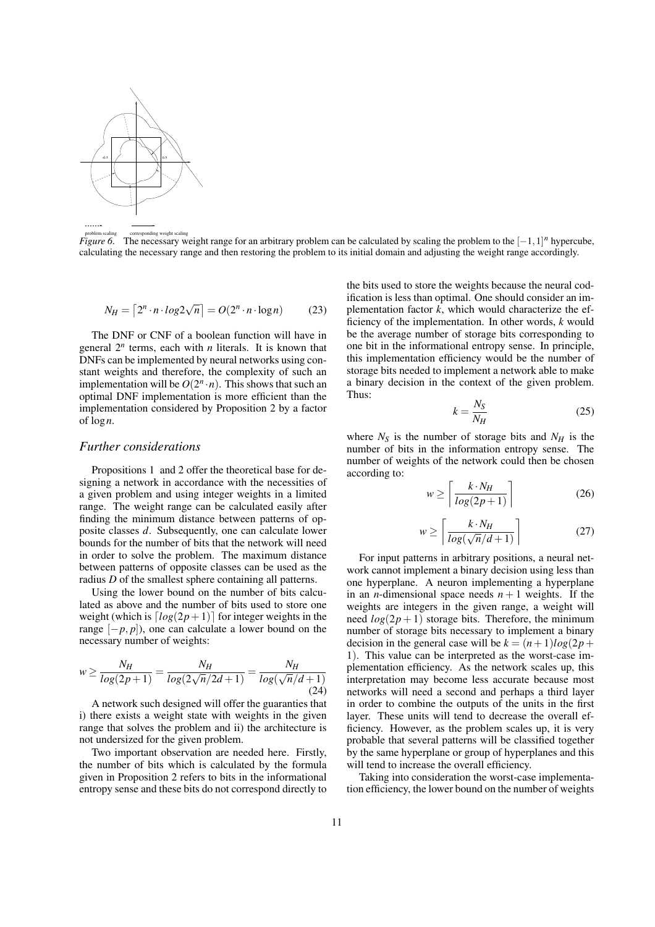

*Figure* 6. The necessary weight range for an arbitrary problem can be calculated by scaling the problem to the  $[-1,1]^n$  hypercube, calculating the necessary range and then restoring the problem to its initial domain and adjusting the weight range accordingly.

$$
N_H = \left[2^n \cdot n \cdot \log(2\sqrt{n})\right] = O(2^n \cdot n \cdot \log n) \tag{23}
$$

The DNF or CNF of a boolean function will have in general  $2^n$  terms, each with *n* literals. It is known that DNFs can be implemented by neural networks using constant weights and therefore, the complexity of such an implementation will be  $O(2^n \cdot n)$ . This shows that such an optimal DNF implementation is more efficient than the implementation considered by Proposition 2 by a factor of log*n*.

#### *Further considerations*

Propositions 1 and 2 offer the theoretical base for designing a network in accordance with the necessities of a given problem and using integer weights in a limited range. The weight range can be calculated easily after finding the minimum distance between patterns of opposite classes *d*. Subsequently, one can calculate lower bounds for the number of bits that the network will need in order to solve the problem. The maximum distance between patterns of opposite classes can be used as the radius *D* of the smallest sphere containing all patterns.

Using the lower bound on the number of bits calculated as above and the number of bits used to store one weight (which is  $\lfloor log(2p+1) \rfloor$  for integer weights in the range  $[-p, p]$ ), one can calculate a lower bound on the necessary number of weights:

$$
w \ge \frac{N_H}{\log(2p+1)} = \frac{N_H}{\log(2\sqrt{n}/2d+1)} = \frac{N_H}{\log(\sqrt{n}/d+1)}
$$
(24)

A network such designed will offer the guaranties that i) there exists a weight state with weights in the given range that solves the problem and ii) the architecture is not undersized for the given problem.

Two important observation are needed here. Firstly, the number of bits which is calculated by the formula given in Proposition 2 refers to bits in the informational entropy sense and these bits do not correspond directly to

the bits used to store the weights because the neural codification is less than optimal. One should consider an implementation factor  $k$ , which would characterize the efficiency of the implementation. In other words, *k* would be the average number of storage bits corresponding to one bit in the informational entropy sense. In principle, this implementation efficiency would be the number of storage bits needed to implement a network able to make a binary decision in the context of the given problem. Thus:

$$
k = \frac{N_S}{N_H} \tag{25}
$$

where  $N<sub>S</sub>$  is the number of storage bits and  $N<sub>H</sub>$  is the number of bits in the information entropy sense. The number of weights of the network could then be chosen according to:

$$
w \ge \left\lceil \frac{k \cdot N_H}{\log(2p + 1)} \right\rceil \tag{26}
$$

$$
w \ge \left\lceil \frac{k \cdot N_H}{\log(\sqrt{n}/d + 1)} \right\rceil \tag{27}
$$

For input patterns in arbitrary positions, a neural network cannot implement a binary decision using less than one hyperplane. A neuron implementing a hyperplane in an *n*-dimensional space needs  $n + 1$  weights. If the weights are integers in the given range, a weight will need  $log(2p + 1)$  storage bits. Therefore, the minimum number of storage bits necessary to implement a binary decision in the general case will be  $k = (n+1)log(2p+1)$ 1). This value can be interpreted as the worst-case implementation efficiency. As the network scales up, this interpretation may become less accurate because most networks will need a second and perhaps a third layer in order to combine the outputs of the units in the first layer. These units will tend to decrease the overall efficiency. However, as the problem scales up, it is very probable that several patterns will be classified together by the same hyperplane or group of hyperplanes and this will tend to increase the overall efficiency.

Taking into consideration the worst-case implementation efficiency, the lower bound on the number of weights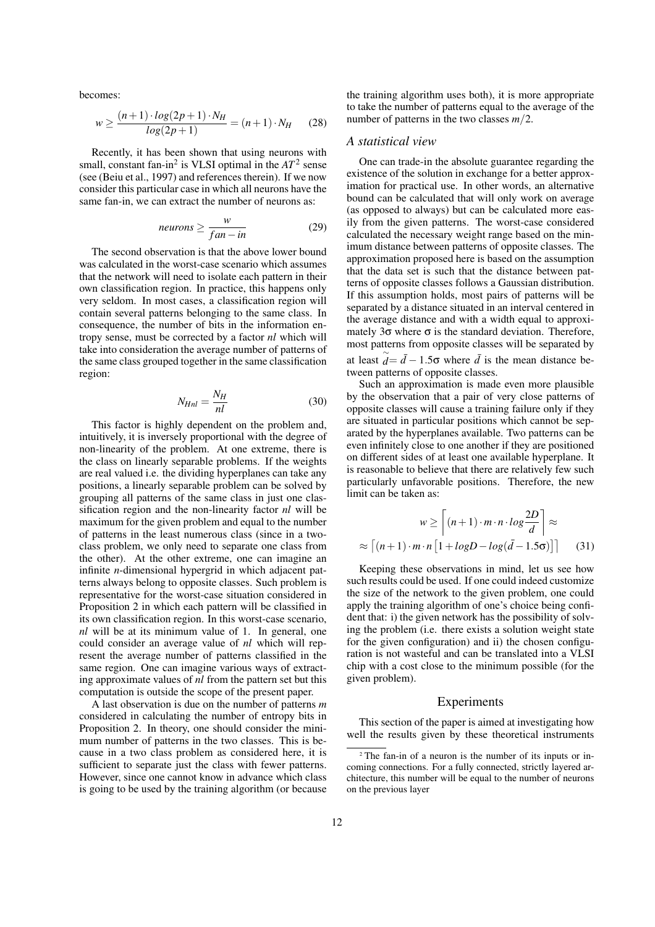becomes:

$$
w \ge \frac{(n+1) \cdot \log(2p+1) \cdot N_H}{\log(2p+1)} = (n+1) \cdot N_H \qquad (28)
$$

Recently, it has been shown that using neurons with small, constant fan-in<sup>2</sup> is VLSI optimal in the  $AT^2$  sense (see (Beiu et al., 1997) and references therein). If we now consider this particular case in which all neurons have the same fan-in, we can extract the number of neurons as:

$$
neurons \ge \frac{w}{fan - in}
$$
 (29)

The second observation is that the above lower bound was calculated in the worst-case scenario which assumes that the network will need to isolate each pattern in their own classification region. In practice, this happens only very seldom. In most cases, a classification region will contain several patterns belonging to the same class. In consequence, the number of bits in the information entropy sense, must be corrected by a factor *nl* which will take into consideration the average number of patterns of the same class grouped together in the same classification region:

$$
N_{Hnl} = \frac{N_H}{nl} \tag{30}
$$

This factor is highly dependent on the problem and, intuitively, it is inversely proportional with the degree of non-linearity of the problem. At one extreme, there is the class on linearly separable problems. If the weights are real valued i.e. the dividing hyperplanes can take any positions, a linearly separable problem can be solved by grouping all patterns of the same class in just one classification region and the non-linearity factor *nl* will be maximum for the given problem and equal to the number of patterns in the least numerous class (since in a twoclass problem, we only need to separate one class from the other). At the other extreme, one can imagine an infinite *n*-dimensional hypergrid in which adjacent patterns always belong to opposite classes. Such problem is representative for the worst-case situation considered in Proposition 2 in which each pattern will be classified in its own classification region. In this worst-case scenario, *nl* will be at its minimum value of 1. In general, one could consider an average value of *nl* which will represent the average number of patterns classified in the same region. One can imagine various ways of extracting approximate values of *nl* from the pattern set but this computation is outside the scope of the present paper.

A last observation is due on the number of patterns *m* considered in calculating the number of entropy bits in Proposition 2. In theory, one should consider the minimum number of patterns in the two classes. This is because in a two class problem as considered here, it is sufficient to separate just the class with fewer patterns. However, since one cannot know in advance which class is going to be used by the training algorithm (or because

the training algorithm uses both), it is more appropriate to take the number of patterns equal to the average of the number of patterns in the two classes *m*/2.

# *A statistical view*

One can trade-in the absolute guarantee regarding the existence of the solution in exchange for a better approximation for practical use. In other words, an alternative bound can be calculated that will only work on average (as opposed to always) but can be calculated more easily from the given patterns. The worst-case considered calculated the necessary weight range based on the minimum distance between patterns of opposite classes. The approximation proposed here is based on the assumption that the data set is such that the distance between patterns of opposite classes follows a Gaussian distribution. If this assumption holds, most pairs of patterns will be separated by a distance situated in an interval centered in the average distance and with a width equal to approximately  $3\sigma$  where  $\sigma$  is the standard deviation. Therefore, most patterns from opposite classes will be separated by at least  $\tilde{d} = \bar{d} - 1.5\sigma$  where  $\bar{d}$  is the mean distance between patterns of opposite classes.

Such an approximation is made even more plausible by the observation that a pair of very close patterns of opposite classes will cause a training failure only if they are situated in particular positions which cannot be separated by the hyperplanes available. Two patterns can be even infinitely close to one another if they are positioned on different sides of at least one available hyperplane. It is reasonable to believe that there are relatively few such particularly unfavorable positions. Therefore, the new limit can be taken as:

$$
w \ge \left\lceil (n+1) \cdot m \cdot n \cdot \log \frac{2D}{d} \right\rceil \approx
$$
  
 
$$
\left\lceil (n+1) \cdot m \cdot n \left[ 1 + \log D - \log(\bar{d} - 1.5\sigma) \right] \right\rceil \qquad (31)
$$

Keeping these observations in mind, let us see how such results could be used. If one could indeed customize the size of the network to the given problem, one could apply the training algorithm of one's choice being confident that: i) the given network has the possibility of solving the problem (i.e. there exists a solution weight state for the given configuration) and ii) the chosen configuration is not wasteful and can be translated into a VLSI chip with a cost close to the minimum possible (for the given problem).

## Experiments

This section of the paper is aimed at investigating how well the results given by these theoretical instruments

≈

<sup>2</sup> The fan-in of a neuron is the number of its inputs or incoming connections. For a fully connected, strictly layered architecture, this number will be equal to the number of neurons on the previous layer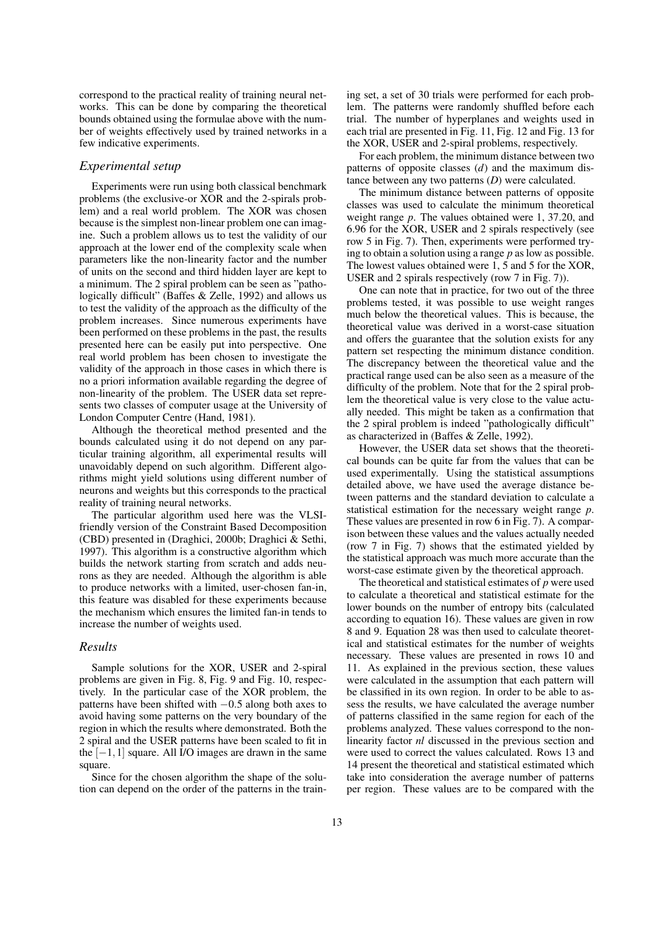correspond to the practical reality of training neural networks. This can be done by comparing the theoretical bounds obtained using the formulae above with the number of weights effectively used by trained networks in a few indicative experiments.

## *Experimental setup*

Experiments were run using both classical benchmark problems (the exclusive-or XOR and the 2-spirals problem) and a real world problem. The XOR was chosen because is the simplest non-linear problem one can imagine. Such a problem allows us to test the validity of our approach at the lower end of the complexity scale when parameters like the non-linearity factor and the number of units on the second and third hidden layer are kept to a minimum. The 2 spiral problem can be seen as "pathologically difficult" (Baffes & Zelle, 1992) and allows us to test the validity of the approach as the difficulty of the problem increases. Since numerous experiments have been performed on these problems in the past, the results presented here can be easily put into perspective. One real world problem has been chosen to investigate the validity of the approach in those cases in which there is no a priori information available regarding the degree of non-linearity of the problem. The USER data set represents two classes of computer usage at the University of London Computer Centre (Hand, 1981).

Although the theoretical method presented and the bounds calculated using it do not depend on any particular training algorithm, all experimental results will unavoidably depend on such algorithm. Different algorithms might yield solutions using different number of neurons and weights but this corresponds to the practical reality of training neural networks.

The particular algorithm used here was the VLSIfriendly version of the Constraint Based Decomposition (CBD) presented in (Draghici, 2000b; Draghici & Sethi, 1997). This algorithm is a constructive algorithm which builds the network starting from scratch and adds neurons as they are needed. Although the algorithm is able to produce networks with a limited, user-chosen fan-in, this feature was disabled for these experiments because the mechanism which ensures the limited fan-in tends to increase the number of weights used.

#### *Results*

Sample solutions for the XOR, USER and 2-spiral problems are given in Fig. 8, Fig. 9 and Fig. 10, respectively. In the particular case of the XOR problem, the patterns have been shifted with −0.5 along both axes to avoid having some patterns on the very boundary of the region in which the results where demonstrated. Both the 2 spiral and the USER patterns have been scaled to fit in the  $[-1,1]$  square. All I/O images are drawn in the same square.

Since for the chosen algorithm the shape of the solution can depend on the order of the patterns in the training set, a set of 30 trials were performed for each problem. The patterns were randomly shuffled before each trial. The number of hyperplanes and weights used in each trial are presented in Fig. 11, Fig. 12 and Fig. 13 for the XOR, USER and 2-spiral problems, respectively.

For each problem, the minimum distance between two patterns of opposite classes (*d*) and the maximum distance between any two patterns (*D*) were calculated.

The minimum distance between patterns of opposite classes was used to calculate the minimum theoretical weight range *p*. The values obtained were 1, 37.20, and 6.96 for the XOR, USER and 2 spirals respectively (see row 5 in Fig. 7). Then, experiments were performed trying to obtain a solution using a range *p* as low as possible. The lowest values obtained were 1, 5 and 5 for the XOR, USER and 2 spirals respectively (row 7 in Fig. 7)).

One can note that in practice, for two out of the three problems tested, it was possible to use weight ranges much below the theoretical values. This is because, the theoretical value was derived in a worst-case situation and offers the guarantee that the solution exists for any pattern set respecting the minimum distance condition. The discrepancy between the theoretical value and the practical range used can be also seen as a measure of the difficulty of the problem. Note that for the 2 spiral problem the theoretical value is very close to the value actually needed. This might be taken as a confirmation that the 2 spiral problem is indeed "pathologically difficult" as characterized in (Baffes & Zelle, 1992).

However, the USER data set shows that the theoretical bounds can be quite far from the values that can be used experimentally. Using the statistical assumptions detailed above, we have used the average distance between patterns and the standard deviation to calculate a statistical estimation for the necessary weight range *p*. These values are presented in row 6 in Fig. 7). A comparison between these values and the values actually needed (row 7 in Fig. 7) shows that the estimated yielded by the statistical approach was much more accurate than the worst-case estimate given by the theoretical approach.

The theoretical and statistical estimates of *p* were used to calculate a theoretical and statistical estimate for the lower bounds on the number of entropy bits (calculated according to equation 16). These values are given in row 8 and 9. Equation 28 was then used to calculate theoretical and statistical estimates for the number of weights necessary. These values are presented in rows 10 and 11. As explained in the previous section, these values were calculated in the assumption that each pattern will be classified in its own region. In order to be able to assess the results, we have calculated the average number of patterns classified in the same region for each of the problems analyzed. These values correspond to the nonlinearity factor *nl* discussed in the previous section and were used to correct the values calculated. Rows 13 and 14 present the theoretical and statistical estimated which take into consideration the average number of patterns per region. These values are to be compared with the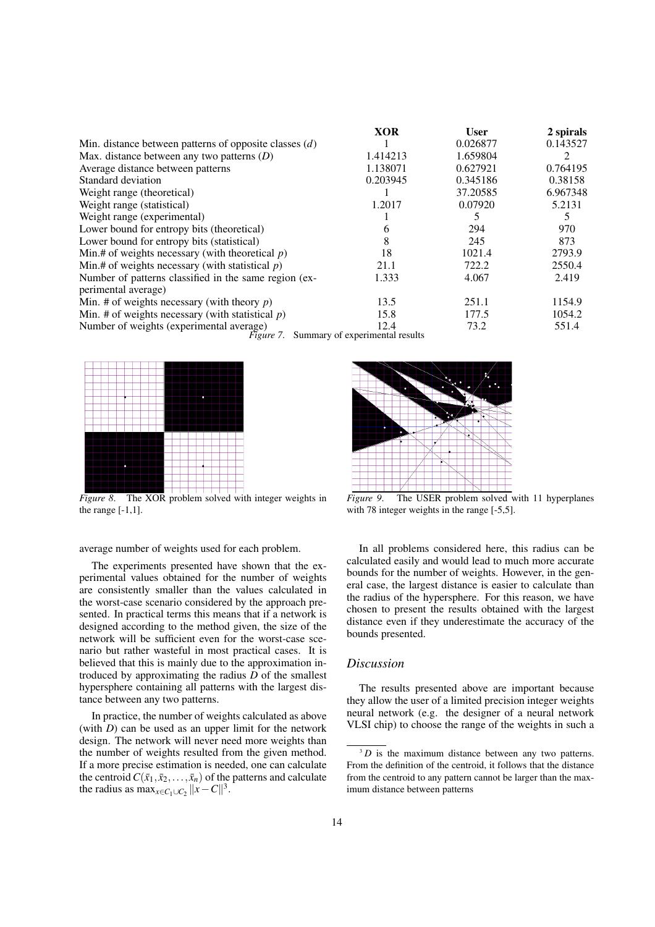|                                                                              | <b>XOR</b>                              | <b>User</b> | 2 spirals |
|------------------------------------------------------------------------------|-----------------------------------------|-------------|-----------|
| Min. distance between patterns of opposite classes $(d)$                     |                                         | 0.026877    | 0.143527  |
| Max. distance between any two patterns $(D)$                                 | 1.414213                                | 1.659804    | 2         |
| Average distance between patterns                                            | 1.138071                                | 0.627921    | 0.764195  |
| Standard deviation                                                           | 0.203945                                | 0.345186    | 0.38158   |
| Weight range (theoretical)                                                   |                                         | 37.20585    | 6.967348  |
| Weight range (statistical)                                                   | 1.2017                                  | 0.07920     | 5.2131    |
| Weight range (experimental)                                                  |                                         | 5           | 5         |
| Lower bound for entropy bits (theoretical)                                   | h                                       | 294         | 970       |
| Lower bound for entropy bits (statistical)                                   | 8                                       | 245         | 873       |
| Min.# of weights necessary (with theoretical $p$ )                           | 18                                      | 1021.4      | 2793.9    |
| Min.# of weights necessary (with statistical $p$ )                           | 21.1                                    | 722.2       | 2550.4    |
| Number of patterns classified in the same region (ex-<br>perimental average) | 1.333                                   | 4.067       | 2.419     |
| Min. # of weights necessary (with theory $p$ )                               | 13.5                                    | 251.1       | 1154.9    |
| Min. # of weights necessary (with statistical $p$ )                          | 15.8                                    | 177.5       | 1054.2    |
| Number of weights (experimental average)<br>Figure 7.                        | 12.4<br>Summary of experimental results | 73.2        | 551.4     |



*Figure* 8. The XOR problem solved with integer weights in the range  $[-1,1]$ .

average number of weights used for each problem.

The experiments presented have shown that the experimental values obtained for the number of weights are consistently smaller than the values calculated in the worst-case scenario considered by the approach presented. In practical terms this means that if a network is designed according to the method given, the size of the network will be sufficient even for the worst-case scenario but rather wasteful in most practical cases. It is believed that this is mainly due to the approximation introduced by approximating the radius *D* of the smallest hypersphere containing all patterns with the largest distance between any two patterns.

In practice, the number of weights calculated as above (with *D*) can be used as an upper limit for the network design. The network will never need more weights than the number of weights resulted from the given method. If a more precise estimation is needed, one can calculate the centroid  $C(\bar{x}_1, \bar{x}_2, \ldots, \bar{x}_n)$  of the patterns and calculate the radius as  $\max_{x \in C_1 \cup C_2} ||x - C||^3$ .



*Figure 9*. The USER problem solved with 11 hyperplanes with 78 integer weights in the range [-5,5].

In all problems considered here, this radius can be calculated easily and would lead to much more accurate bounds for the number of weights. However, in the general case, the largest distance is easier to calculate than the radius of the hypersphere. For this reason, we have chosen to present the results obtained with the largest distance even if they underestimate the accuracy of the bounds presented.

# *Discussion*

The results presented above are important because they allow the user of a limited precision integer weights neural network (e.g. the designer of a neural network VLSI chip) to choose the range of the weights in such a

 $3 D$  is the maximum distance between any two patterns. From the definition of the centroid, it follows that the distance from the centroid to any pattern cannot be larger than the maximum distance between patterns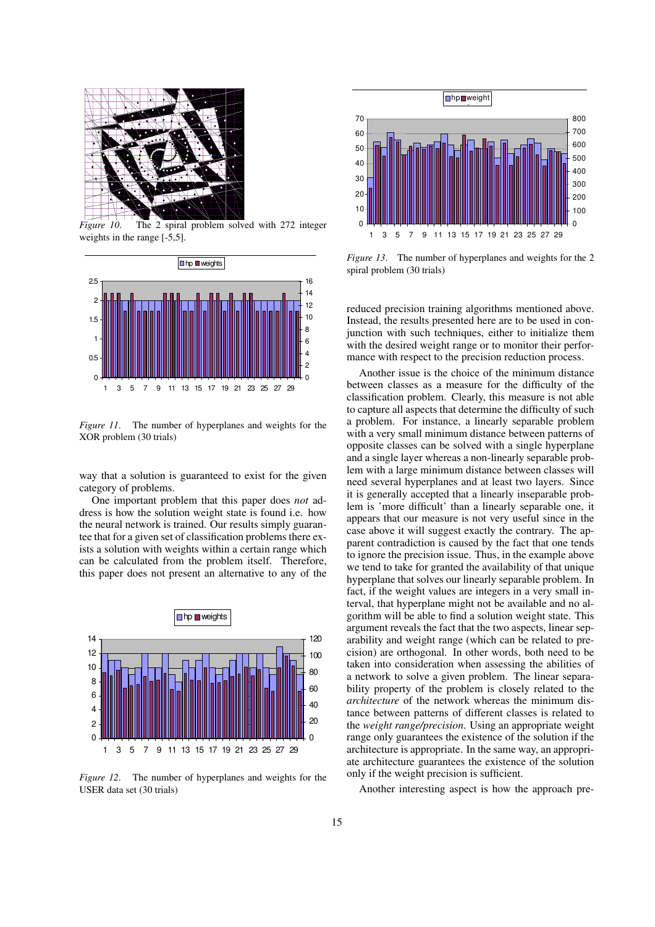

*Figure 10*. The 2 spiral problem solved with 272 integer weights in the range [-5,5].



*Figure 11*. The number of hyperplanes and weights for the XOR problem (30 trials)

way that a solution is guaranteed to exist for the given category of problems.

One important problem that this paper does *not* address is how the solution weight state is found i.e. how the neural network is trained. Our results simply guarantee that for a given set of classification problems there exists a solution with weights within a certain range which can be calculated from the problem itself. Therefore, this paper does not present an alternative to any of the



*Figure 12*. The number of hyperplanes and weights for the USER data set (30 trials)



*Figure 13*. The number of hyperplanes and weights for the 2 spiral problem (30 trials)

reduced precision training algorithms mentioned above. Instead, the results presented here are to be used in conjunction with such techniques, either to initialize them with the desired weight range or to monitor their performance with respect to the precision reduction process.

Another issue is the choice of the minimum distance between classes as a measure for the difficulty of the classification problem. Clearly, this measure is not able to capture all aspects that determine the difficulty of such a problem. For instance, a linearly separable problem with a very small minimum distance between patterns of opposite classes can be solved with a single hyperplane and a single layer whereas a non-linearly separable problem with a large minimum distance between classes will need several hyperplanes and at least two layers. Since it is generally accepted that a linearly inseparable problem is 'more difficult' than a linearly separable one, it appears that our measure is not very useful since in the case above it will suggest exactly the contrary. The apparent contradiction is caused by the fact that one tends to ignore the precision issue. Thus, in the example above we tend to take for granted the availability of that unique hyperplane that solves our linearly separable problem. In fact, if the weight values are integers in a very small interval, that hyperplane might not be available and no algorithm will be able to find a solution weight state. This argument reveals the fact that the two aspects, linear separability and weight range (which can be related to precision) are orthogonal. In other words, both need to be taken into consideration when assessing the abilities of a network to solve a given problem. The linear separability property of the problem is closely related to the *architecture* of the network whereas the minimum distance between patterns of different classes is related to the *weight range/precision*. Using an appropriate weight range only guarantees the existence of the solution if the architecture is appropriate. In the same way, an appropriate architecture guarantees the existence of the solution only if the weight precision is sufficient.

Another interesting aspect is how the approach pre-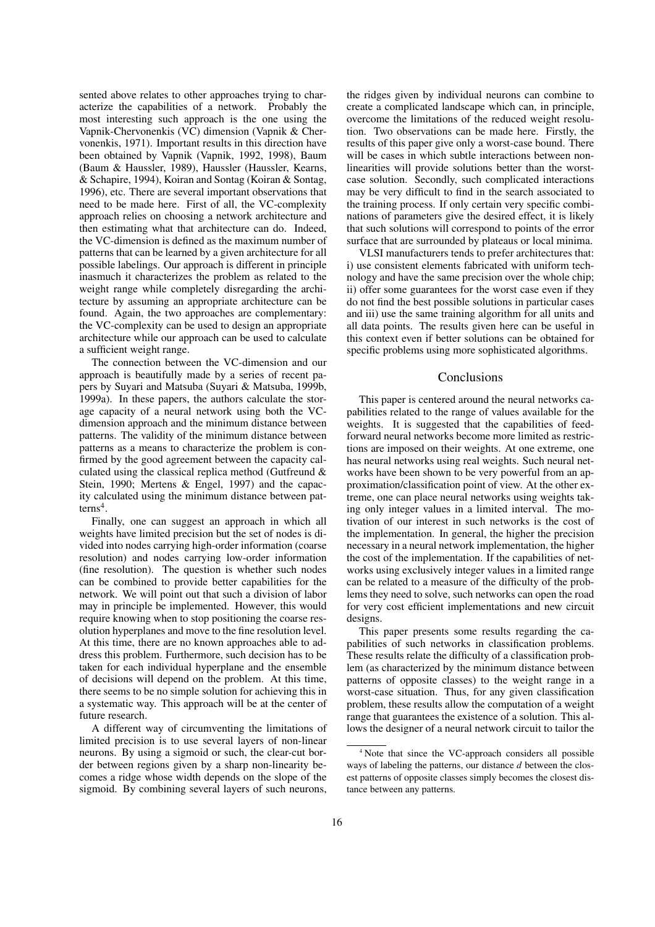sented above relates to other approaches trying to characterize the capabilities of a network. Probably the most interesting such approach is the one using the Vapnik-Chervonenkis (VC) dimension (Vapnik & Chervonenkis, 1971). Important results in this direction have been obtained by Vapnik (Vapnik, 1992, 1998), Baum (Baum & Haussler, 1989), Haussler (Haussler, Kearns, & Schapire, 1994), Koiran and Sontag (Koiran & Sontag, 1996), etc. There are several important observations that need to be made here. First of all, the VC-complexity approach relies on choosing a network architecture and then estimating what that architecture can do. Indeed, the VC-dimension is defined as the maximum number of patterns that can be learned by a given architecture for all possible labelings. Our approach is different in principle inasmuch it characterizes the problem as related to the weight range while completely disregarding the architecture by assuming an appropriate architecture can be found. Again, the two approaches are complementary: the VC-complexity can be used to design an appropriate architecture while our approach can be used to calculate a sufficient weight range.

The connection between the VC-dimension and our approach is beautifully made by a series of recent papers by Suyari and Matsuba (Suyari & Matsuba, 1999b, 1999a). In these papers, the authors calculate the storage capacity of a neural network using both the VCdimension approach and the minimum distance between patterns. The validity of the minimum distance between patterns as a means to characterize the problem is confirmed by the good agreement between the capacity calculated using the classical replica method (Gutfreund & Stein, 1990; Mertens & Engel, 1997) and the capacity calculated using the minimum distance between pat $terns<sup>4</sup>$ .

Finally, one can suggest an approach in which all weights have limited precision but the set of nodes is divided into nodes carrying high-order information (coarse resolution) and nodes carrying low-order information (fine resolution). The question is whether such nodes can be combined to provide better capabilities for the network. We will point out that such a division of labor may in principle be implemented. However, this would require knowing when to stop positioning the coarse resolution hyperplanes and move to the fine resolution level. At this time, there are no known approaches able to address this problem. Furthermore, such decision has to be taken for each individual hyperplane and the ensemble of decisions will depend on the problem. At this time, there seems to be no simple solution for achieving this in a systematic way. This approach will be at the center of future research.

A different way of circumventing the limitations of limited precision is to use several layers of non-linear neurons. By using a sigmoid or such, the clear-cut border between regions given by a sharp non-linearity becomes a ridge whose width depends on the slope of the sigmoid. By combining several layers of such neurons, the ridges given by individual neurons can combine to create a complicated landscape which can, in principle, overcome the limitations of the reduced weight resolution. Two observations can be made here. Firstly, the results of this paper give only a worst-case bound. There will be cases in which subtle interactions between nonlinearities will provide solutions better than the worstcase solution. Secondly, such complicated interactions may be very difficult to find in the search associated to the training process. If only certain very specific combinations of parameters give the desired effect, it is likely that such solutions will correspond to points of the error surface that are surrounded by plateaus or local minima.

VLSI manufacturers tends to prefer architectures that: i) use consistent elements fabricated with uniform technology and have the same precision over the whole chip; ii) offer some guarantees for the worst case even if they do not find the best possible solutions in particular cases and iii) use the same training algorithm for all units and all data points. The results given here can be useful in this context even if better solutions can be obtained for specific problems using more sophisticated algorithms.

## Conclusions

This paper is centered around the neural networks capabilities related to the range of values available for the weights. It is suggested that the capabilities of feedforward neural networks become more limited as restrictions are imposed on their weights. At one extreme, one has neural networks using real weights. Such neural networks have been shown to be very powerful from an approximation/classification point of view. At the other extreme, one can place neural networks using weights taking only integer values in a limited interval. The motivation of our interest in such networks is the cost of the implementation. In general, the higher the precision necessary in a neural network implementation, the higher the cost of the implementation. If the capabilities of networks using exclusively integer values in a limited range can be related to a measure of the difficulty of the problems they need to solve, such networks can open the road for very cost efficient implementations and new circuit designs.

This paper presents some results regarding the capabilities of such networks in classification problems. These results relate the difficulty of a classification problem (as characterized by the minimum distance between patterns of opposite classes) to the weight range in a worst-case situation. Thus, for any given classification problem, these results allow the computation of a weight range that guarantees the existence of a solution. This allows the designer of a neural network circuit to tailor the

<sup>4</sup> Note that since the VC-approach considers all possible ways of labeling the patterns, our distance *d* between the closest patterns of opposite classes simply becomes the closest distance between any patterns.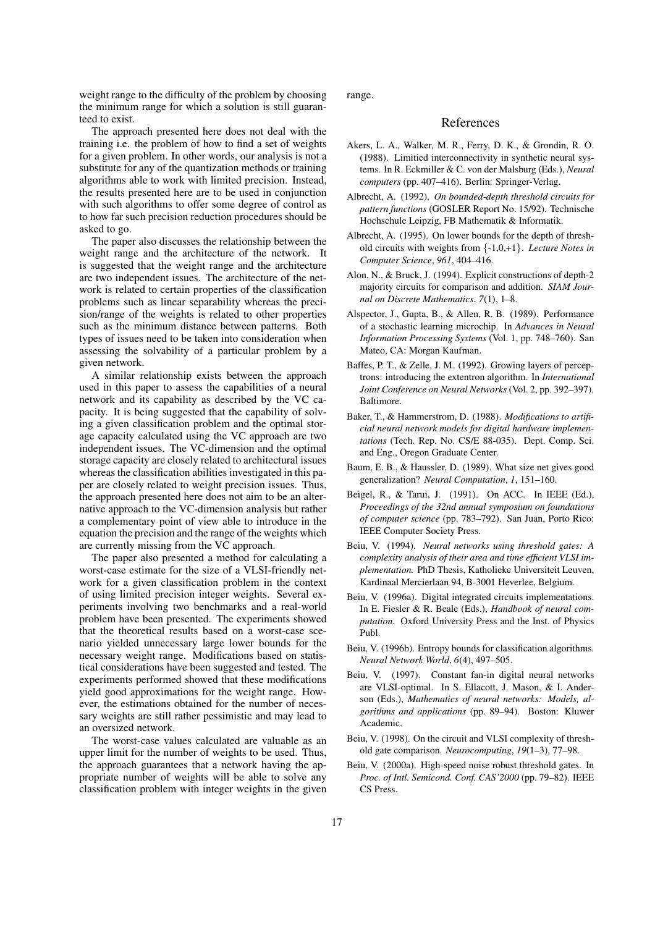weight range to the difficulty of the problem by choosing the minimum range for which a solution is still guaranteed to exist.

The approach presented here does not deal with the training i.e. the problem of how to find a set of weights for a given problem. In other words, our analysis is not a substitute for any of the quantization methods or training algorithms able to work with limited precision. Instead, the results presented here are to be used in conjunction with such algorithms to offer some degree of control as to how far such precision reduction procedures should be asked to go.

The paper also discusses the relationship between the weight range and the architecture of the network. It is suggested that the weight range and the architecture are two independent issues. The architecture of the network is related to certain properties of the classification problems such as linear separability whereas the precision/range of the weights is related to other properties such as the minimum distance between patterns. Both types of issues need to be taken into consideration when assessing the solvability of a particular problem by a given network.

A similar relationship exists between the approach used in this paper to assess the capabilities of a neural network and its capability as described by the VC capacity. It is being suggested that the capability of solving a given classification problem and the optimal storage capacity calculated using the VC approach are two independent issues. The VC-dimension and the optimal storage capacity are closely related to architectural issues whereas the classification abilities investigated in this paper are closely related to weight precision issues. Thus, the approach presented here does not aim to be an alternative approach to the VC-dimension analysis but rather a complementary point of view able to introduce in the equation the precision and the range of the weights which are currently missing from the VC approach.

The paper also presented a method for calculating a worst-case estimate for the size of a VLSI-friendly network for a given classification problem in the context of using limited precision integer weights. Several experiments involving two benchmarks and a real-world problem have been presented. The experiments showed that the theoretical results based on a worst-case scenario yielded unnecessary large lower bounds for the necessary weight range. Modifications based on statistical considerations have been suggested and tested. The experiments performed showed that these modifications yield good approximations for the weight range. However, the estimations obtained for the number of necessary weights are still rather pessimistic and may lead to an oversized network.

The worst-case values calculated are valuable as an upper limit for the number of weights to be used. Thus, the approach guarantees that a network having the appropriate number of weights will be able to solve any classification problem with integer weights in the given range.

### References

- Akers, L. A., Walker, M. R., Ferry, D. K., & Grondin, R. O. (1988). Limitied interconnectivity in synthetic neural systems. In R. Eckmiller & C. von der Malsburg (Eds.), *Neural computers* (pp. 407–416). Berlin: Springer-Verlag.
- Albrecht, A. (1992). *On bounded-depth threshold circuits for pattern functions* (GOSLER Report No. 15/92). Technische Hochschule Leipzig, FB Mathematik & Informatik.
- Albrecht, A. (1995). On lower bounds for the depth of threshold circuits with weights from {-1,0,+1}. *Lecture Notes in Computer Science*, *961*, 404–416.
- Alon, N., & Bruck, J. (1994). Explicit constructions of depth-2 majority circuits for comparison and addition. *SIAM Journal on Discrete Mathematics*, *7*(1), 1–8.
- Alspector, J., Gupta, B., & Allen, R. B. (1989). Performance of a stochastic learning microchip. In *Advances in Neural Information Processing Systems* (Vol. 1, pp. 748–760). San Mateo, CA: Morgan Kaufman.
- Baffes, P. T., & Zelle, J. M. (1992). Growing layers of perceptrons: introducing the extentron algorithm. In *International Joint Conference on Neural Networks* (Vol. 2, pp. 392–397). Baltimore.
- Baker, T., & Hammerstrom, D. (1988). *Modifications to artificial neural network models for digital hardware implementations* (Tech. Rep. No. CS/E 88-035). Dept. Comp. Sci. and Eng., Oregon Graduate Center.
- Baum, E. B., & Haussler, D. (1989). What size net gives good generalization? *Neural Computation*, *1*, 151–160.
- Beigel, R., & Tarui, J. (1991). On ACC. In IEEE (Ed.), *Proceedings of the 32nd annual symposium on foundations of computer science* (pp. 783–792). San Juan, Porto Rico: IEEE Computer Society Press.
- Beiu, V. (1994). *Neural networks using threshold gates: A complexity analysis of their area and time efficient VLSI implementation.* PhD Thesis, Katholieke Universiteit Leuven, Kardinaal Mercierlaan 94, B-3001 Heverlee, Belgium.
- Beiu, V. (1996a). Digital integrated circuits implementations. In E. Fiesler & R. Beale (Eds.), *Handbook of neural computation.* Oxford University Press and the Inst. of Physics Publ.
- Beiu, V. (1996b). Entropy bounds for classification algorithms. *Neural Network World*, *6*(4), 497–505.
- Beiu, V. (1997). Constant fan-in digital neural networks are VLSI-optimal. In S. Ellacott, J. Mason, & I. Anderson (Eds.), *Mathematics of neural networks: Models, algorithms and applications* (pp. 89–94). Boston: Kluwer Academic.
- Beiu, V. (1998). On the circuit and VLSI complexity of threshold gate comparison. *Neurocomputing*, *19*(1–3), 77–98.
- Beiu, V. (2000a). High-speed noise robust threshold gates. In *Proc. of Intl. Semicond. Conf. CAS'2000* (pp. 79–82). IEEE CS Press.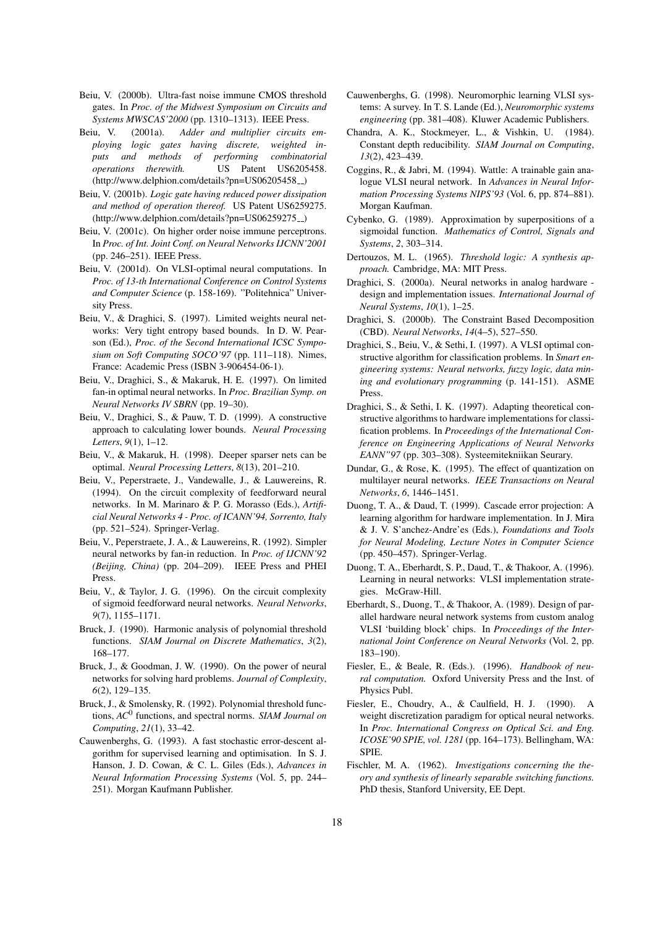- Beiu, V. (2000b). Ultra-fast noise immune CMOS threshold gates. In *Proc. of the Midwest Symposium on Circuits and Systems MWSCAS'2000* (pp. 1310–1313). IEEE Press.
- Beiu, V. (2001a). *Adder and multiplier circuits employing logic gates having discrete, weighted inputs and methods of performing combinatorial operations therewith.* US Patent US6205458. (http://www.delphion.com/details?pn=US06205458...)
- Beiu, V. (2001b). *Logic gate having reduced power dissipation and method of operation thereof.* US Patent US6259275. (http://www.delphion.com/details?pn=US06259275...)
- Beiu, V. (2001c). On higher order noise immune perceptrons. In *Proc. of Int. Joint Conf. on Neural Networks IJCNN'2001* (pp. 246–251). IEEE Press.
- Beiu, V. (2001d). On VLSI-optimal neural computations. In *Proc. of 13-th International Conference on Control Systems and Computer Science* (p. 158-169). "Politehnica" University Press.
- Beiu, V., & Draghici, S. (1997). Limited weights neural networks: Very tight entropy based bounds. In D. W. Pearson (Ed.), *Proc. of the Second International ICSC Symposium on Soft Computing SOCO'97* (pp. 111–118). Nimes, France: Academic Press (ISBN 3-906454-06-1).
- Beiu, V., Draghici, S., & Makaruk, H. E. (1997). On limited fan-in optimal neural networks. In *Proc. Brazilian Symp. on Neural Networks IV SBRN* (pp. 19–30).
- Beiu, V., Draghici, S., & Pauw, T. D. (1999). A constructive approach to calculating lower bounds. *Neural Processing Letters*, *9*(1), 1–12.
- Beiu, V., & Makaruk, H. (1998). Deeper sparser nets can be optimal. *Neural Processing Letters*, *8*(13), 201–210.
- Beiu, V., Peperstraete, J., Vandewalle, J., & Lauwereins, R. (1994). On the circuit complexity of feedforward neural networks. In M. Marinaro & P. G. Morasso (Eds.), *Artificial Neural Networks 4 - Proc. of ICANN'94, Sorrento, Italy* (pp. 521–524). Springer-Verlag.
- Beiu, V., Peperstraete, J. A., & Lauwereins, R. (1992). Simpler neural networks by fan-in reduction. In *Proc. of IJCNN'92 (Beijing, China)* (pp. 204–209). IEEE Press and PHEI Press.
- Beiu, V., & Taylor, J. G. (1996). On the circuit complexity of sigmoid feedforward neural networks. *Neural Networks*, *9*(7), 1155–1171.
- Bruck, J. (1990). Harmonic analysis of polynomial threshold functions. *SIAM Journal on Discrete Mathematics*, *3*(2), 168–177.
- Bruck, J., & Goodman, J. W. (1990). On the power of neural networks for solving hard problems. *Journal of Complexity*, *6*(2), 129–135.
- Bruck, J., & Smolensky, R. (1992). Polynomial threshold functions, *AC* 0 functions, and spectral norms. *SIAM Journal on Computing*, *21*(1), 33–42.
- Cauwenberghs, G. (1993). A fast stochastic error-descent algorithm for supervised learning and optimisation. In S. J. Hanson, J. D. Cowan, & C. L. Giles (Eds.), *Advances in Neural Information Processing Systems* (Vol. 5, pp. 244– 251). Morgan Kaufmann Publisher.
- Cauwenberghs, G. (1998). Neuromorphic learning VLSI systems: A survey. In T. S. Lande (Ed.), *Neuromorphic systems engineering* (pp. 381–408). Kluwer Academic Publishers.
- Chandra, A. K., Stockmeyer, L., & Vishkin, U. (1984). Constant depth reducibility. *SIAM Journal on Computing*, *13*(2), 423–439.
- Coggins, R., & Jabri, M. (1994). Wattle: A trainable gain analogue VLSI neural network. In *Advances in Neural Information Processing Systems NIPS'93* (Vol. 6, pp. 874–881). Morgan Kaufman.
- Cybenko, G. (1989). Approximation by superpositions of a sigmoidal function. *Mathematics of Control, Signals and Systems*, *2*, 303–314.
- Dertouzos, M. L. (1965). *Threshold logic: A synthesis approach.* Cambridge, MA: MIT Press.
- Draghici, S. (2000a). Neural networks in analog hardware design and implementation issues. *International Journal of Neural Systems*, *10*(1), 1–25.
- Draghici, S. (2000b). The Constraint Based Decomposition (CBD). *Neural Networks*, *14*(4–5), 527–550.
- Draghici, S., Beiu, V., & Sethi, I. (1997). A VLSI optimal constructive algorithm for classification problems. In *Smart engineering systems: Neural networks, fuzzy logic, data mining and evolutionary programming* (p. 141-151). ASME Press.
- Draghici, S., & Sethi, I. K. (1997). Adapting theoretical constructive algorithms to hardware implementations for classification problems. In *Proceedings of the International Conference on Engineering Applications of Neural Networks EANN"97* (pp. 303–308). Systeemitekniikan Seurary.
- Dundar, G., & Rose, K. (1995). The effect of quantization on multilayer neural networks. *IEEE Transactions on Neural Networks*, *6*, 1446–1451.
- Duong, T. A., & Daud, T. (1999). Cascade error projection: A learning algorithm for hardware implementation. In J. Mira & J. V. S'anchez-Andre'es (Eds.), *Foundations and Tools for Neural Modeling, Lecture Notes in Computer Science* (pp. 450–457). Springer-Verlag.
- Duong, T. A., Eberhardt, S. P., Daud, T., & Thakoor, A. (1996). Learning in neural networks: VLSI implementation strategies. McGraw-Hill.
- Eberhardt, S., Duong, T., & Thakoor, A. (1989). Design of parallel hardware neural network systems from custom analog VLSI 'building block' chips. In *Proceedings of the International Joint Conference on Neural Networks* (Vol. 2, pp. 183–190).
- Fiesler, E., & Beale, R. (Eds.). (1996). *Handbook of neural computation.* Oxford University Press and the Inst. of Physics Publ.
- Fiesler, E., Choudry, A., & Caulfield, H. J. (1990). A weight discretization paradigm for optical neural networks. In *Proc. International Congress on Optical Sci. and Eng. ICOSE'90 SPIE, vol. 1281* (pp. 164–173). Bellingham, WA: SPIE.
- Fischler, M. A. (1962). *Investigations concerning the theory and synthesis of linearly separable switching functions.* PhD thesis, Stanford University, EE Dept.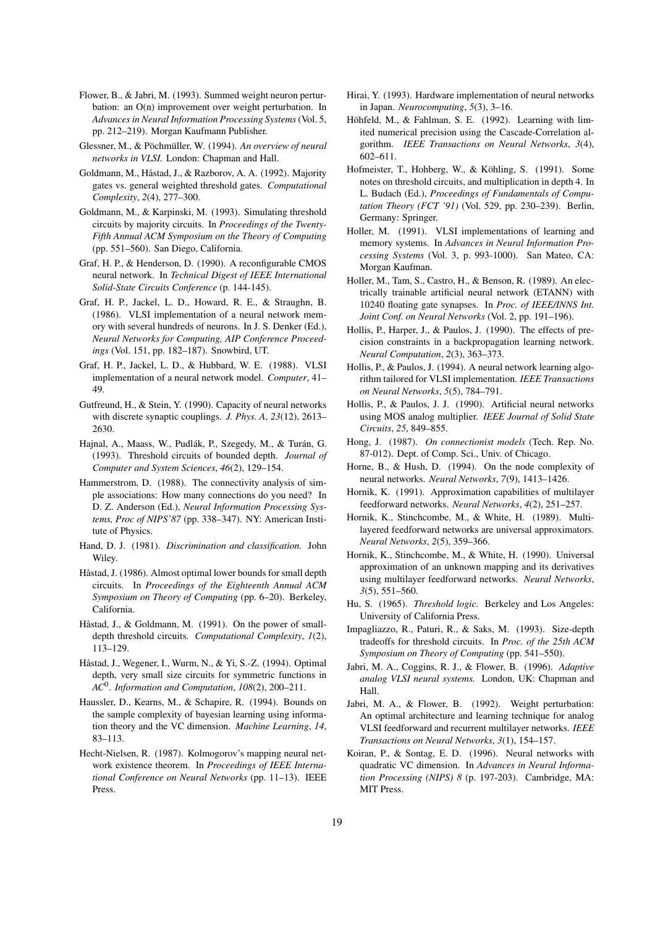- Flower, B., & Jabri, M. (1993). Summed weight neuron perturbation: an O(n) improvement over weight perturbation. In *Advancesin Neural Information Processing Systems*(Vol. 5, pp. 212–219). Morgan Kaufmann Publisher.
- Glessner, M., & Pöchmüller, W. (1994). An overview of neural *networks in VLSI.* London: Chapman and Hall.
- Goldmann, M., Håstad, J., & Razborov, A. A. (1992). Majority gates vs. general weighted threshold gates. *Computational Complexity*, *2*(4), 277–300.
- Goldmann, M., & Karpinski, M. (1993). Simulating threshold circuits by majority circuits. In *Proceedings of the Twenty-Fifth Annual ACM Symposium on the Theory of Computing* (pp. 551–560). San Diego, California.
- Graf, H. P., & Henderson, D. (1990). A reconfigurable CMOS neural network. In *Technical Digest of IEEE International Solid-State Circuits Conference* (p. 144-145).
- Graf, H. P., Jackel, L. D., Howard, R. E., & Straughn, B. (1986). VLSI implementation of a neural network memory with several hundreds of neurons. In J. S. Denker (Ed.), *Neural Networks for Computing, AIP Conference Proceedings* (Vol. 151, pp. 182–187). Snowbird, UT.
- Graf, H. P., Jackel, L. D., & Hubbard, W. E. (1988). VLSI implementation of a neural network model. *Computer*, 41– 49.
- Gutfreund, H., & Stein, Y. (1990). Capacity of neural networks with discrete synaptic couplings. *J. Phys. A*, *23*(12), 2613– 2630.
- Hajnal, A., Maass, W., Pudlák, P., Szegedy, M., & Turán, G. (1993). Threshold circuits of bounded depth. *Journal of Computer and System Sciences*, *46*(2), 129–154.
- Hammerstrom, D. (1988). The connectivity analysis of simple associations: How many connections do you need? In D. Z. Anderson (Ed.), *Neural Information Processing Systems, Proc of NIPS'87* (pp. 338–347). NY: American Institute of Physics.
- Hand, D. J. (1981). *Discrimination and classification.* John Wiley.
- Håstad, J. (1986). Almost optimal lower bounds for small depth circuits. In *Proceedings of the Eighteenth Annual ACM Symposium on Theory of Computing* (pp. 6–20). Berkeley, California.
- Håstad, J., & Goldmann, M.  $(1991)$ . On the power of smalldepth threshold circuits. *Computational Complexity*, *1*(2), 113–129.
- Håstad, J., Wegener, I., Wurm, N., & Yi, S.-Z. (1994). Optimal depth, very small size circuits for symmetric functions in *AC* 0 . *Information and Computation*, *108*(2), 200–211.
- Haussler, D., Kearns, M., & Schapire, R. (1994). Bounds on the sample complexity of bayesian learning using information theory and the VC dimension. *Machine Learning*, *14*, 83–113.
- Hecht-Nielsen, R. (1987). Kolmogorov's mapping neural network existence theorem. In *Proceedings of IEEE International Conference on Neural Networks* (pp. 11–13). IEEE Press.
- Hirai, Y. (1993). Hardware implementation of neural networks in Japan. *Neurocomputing*, *5*(3), 3–16.
- Höhfeld, M., & Fahlman, S. E. (1992). Learning with limited numerical precision using the Cascade-Correlation algorithm. *IEEE Transactions on Neural Networks*, *3*(4), 602–611.
- Hofmeister, T., Hohberg, W., & Köhling, S. (1991). Some notes on threshold circuits, and multiplication in depth 4. In L. Budach (Ed.), *Proceedings of Fundamentals of Computation Theory (FCT '91)* (Vol. 529, pp. 230–239). Berlin, Germany: Springer.
- Holler, M. (1991). VLSI implementations of learning and memory systems. In *Advances in Neural Information Processing Systems* (Vol. 3, p. 993-1000). San Mateo, CA: Morgan Kaufman.
- Holler, M., Tam, S., Castro, H., & Benson, R. (1989). An electrically trainable artificial neural network (ETANN) with 10240 floating gate synapses. In *Proc. of IEEE/INNS Int. Joint Conf. on Neural Networks* (Vol. 2, pp. 191–196).
- Hollis, P., Harper, J., & Paulos, J. (1990). The effects of precision constraints in a backpropagation learning network. *Neural Computation*, *2*(3), 363–373.
- Hollis, P., & Paulos, J. (1994). A neural network learning algorithm tailored for VLSI implementation. *IEEE Transactions on Neural Networks*, *5*(5), 784–791.
- Hollis, P., & Paulos, J. J. (1990). Artificial neural networks using MOS analog multiplier. *IEEE Journal of Solid State Circuits*, *25*, 849–855.
- Hong, J. (1987). *On connectionist models* (Tech. Rep. No. 87-012). Dept. of Comp. Sci., Univ. of Chicago.
- Horne, B., & Hush, D. (1994). On the node complexity of neural networks. *Neural Networks*, *7*(9), 1413–1426.
- Hornik, K. (1991). Approximation capabilities of multilayer feedforward networks. *Neural Networks*, *4*(2), 251–257.
- Hornik, K., Stinchcombe, M., & White, H. (1989). Multilayered feedforward networks are universal approximators. *Neural Networks*, *2*(5), 359–366.
- Hornik, K., Stinchcombe, M., & White, H. (1990). Universal approximation of an unknown mapping and its derivatives using multilayer feedforward networks. *Neural Networks*, *3*(5), 551–560.
- Hu, S. (1965). *Threshold logic.* Berkeley and Los Angeles: University of California Press.
- Impagliazzo, R., Paturi, R., & Saks, M. (1993). Size-depth tradeoffs for threshold circuits. In *Proc. of the 25th ACM Symposium on Theory of Computing* (pp. 541–550).
- Jabri, M. A., Coggins, R. J., & Flower, B. (1996). *Adaptive analog VLSI neural systems.* London, UK: Chapman and Hall.
- Jabri, M. A., & Flower, B. (1992). Weight perturbation: An optimal architecture and learning technique for analog VLSI feedforward and recurrent multilayer networks. *IEEE Transactions on Neural Networks*, *3*(1), 154–157.
- Koiran, P., & Sontag, E. D. (1996). Neural networks with quadratic VC dimension. In *Advances in Neural Information Processing (NIPS) 8* (p. 197-203). Cambridge, MA: MIT Press.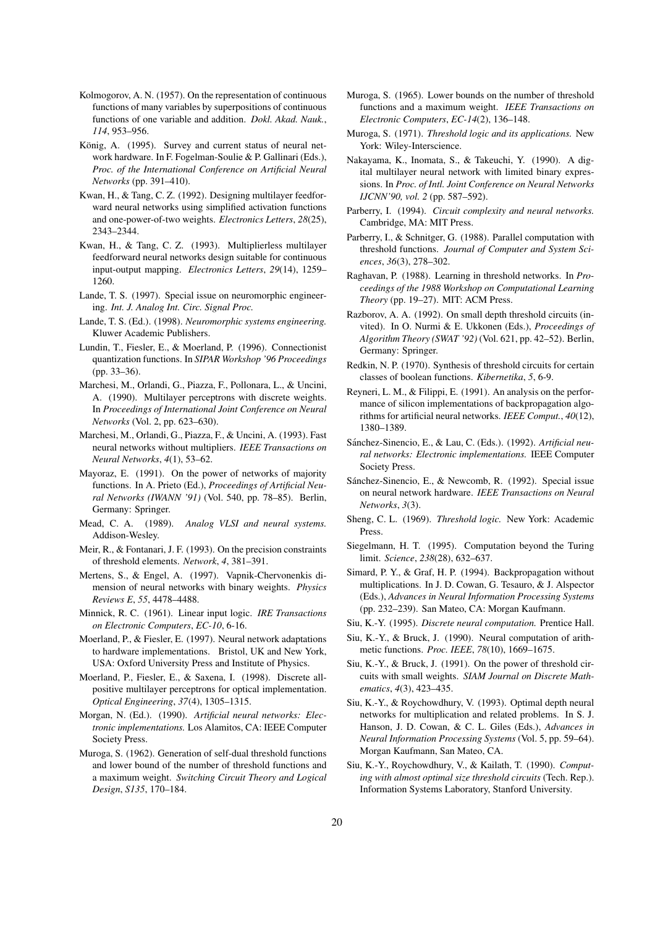- Kolmogorov, A. N. (1957). On the representation of continuous functions of many variables by superpositions of continuous functions of one variable and addition. *Dokl. Akad. Nauk.*, *114*, 953–956.
- König, A. (1995). Survey and current status of neural network hardware. In F. Fogelman-Soulie & P. Gallinari (Eds.), *Proc. of the International Conference on Artificial Neural Networks* (pp. 391–410).
- Kwan, H., & Tang, C. Z. (1992). Designing multilayer feedforward neural networks using simplified activation functions and one-power-of-two weights. *Electronics Letters*, *28*(25), 2343–2344.
- Kwan, H., & Tang, C. Z. (1993). Multiplierless multilayer feedforward neural networks design suitable for continuous input-output mapping. *Electronics Letters*, *29*(14), 1259– 1260.
- Lande, T. S. (1997). Special issue on neuromorphic engineering. *Int. J. Analog Int. Circ. Signal Proc.*
- Lande, T. S. (Ed.). (1998). *Neuromorphic systems engineering.* Kluwer Academic Publishers.
- Lundin, T., Fiesler, E., & Moerland, P. (1996). Connectionist quantization functions. In *SIPAR Workshop '96 Proceedings* (pp. 33–36).
- Marchesi, M., Orlandi, G., Piazza, F., Pollonara, L., & Uncini, A. (1990). Multilayer perceptrons with discrete weights. In *Proceedings of International Joint Conference on Neural Networks* (Vol. 2, pp. 623–630).
- Marchesi, M., Orlandi, G., Piazza, F., & Uncini, A. (1993). Fast neural networks without multipliers. *IEEE Transactions on Neural Networks*, *4*(1), 53–62.
- Mayoraz, E. (1991). On the power of networks of majority functions. In A. Prieto (Ed.), *Proceedings of Artificial Neural Networks (IWANN '91)* (Vol. 540, pp. 78–85). Berlin, Germany: Springer.
- Mead, C. A. (1989). *Analog VLSI and neural systems.* Addison-Wesley.
- Meir, R., & Fontanari, J. F. (1993). On the precision constraints of threshold elements. *Network*, *4*, 381–391.
- Mertens, S., & Engel, A. (1997). Vapnik-Chervonenkis dimension of neural networks with binary weights. *Physics Reviews E*, *55*, 4478–4488.
- Minnick, R. C. (1961). Linear input logic. *IRE Transactions on Electronic Computers*, *EC-10*, 6-16.
- Moerland, P., & Fiesler, E. (1997). Neural network adaptations to hardware implementations. Bristol, UK and New York, USA: Oxford University Press and Institute of Physics.
- Moerland, P., Fiesler, E., & Saxena, I. (1998). Discrete allpositive multilayer perceptrons for optical implementation. *Optical Engineering*, *37*(4), 1305–1315.
- Morgan, N. (Ed.). (1990). *Artificial neural networks: Electronic implementations.* Los Alamitos, CA: IEEE Computer Society Press.
- Muroga, S. (1962). Generation of self-dual threshold functions and lower bound of the number of threshold functions and a maximum weight. *Switching Circuit Theory and Logical Design*, *S135*, 170–184.
- Muroga, S. (1965). Lower bounds on the number of threshold functions and a maximum weight. *IEEE Transactions on Electronic Computers*, *EC-14*(2), 136–148.
- Muroga, S. (1971). *Threshold logic and its applications.* New York: Wiley-Interscience.
- Nakayama, K., Inomata, S., & Takeuchi, Y. (1990). A digital multilayer neural network with limited binary expressions. In *Proc. of Intl. Joint Conference on Neural Networks IJCNN'90, vol. 2* (pp. 587–592).
- Parberry, I. (1994). *Circuit complexity and neural networks.* Cambridge, MA: MIT Press.
- Parberry, I., & Schnitger, G. (1988). Parallel computation with threshold functions. *Journal of Computer and System Sciences*, *36*(3), 278–302.
- Raghavan, P. (1988). Learning in threshold networks. In *Proceedings of the 1988 Workshop on Computational Learning Theory* (pp. 19–27). MIT: ACM Press.
- Razborov, A. A. (1992). On small depth threshold circuits (invited). In O. Nurmi & E. Ukkonen (Eds.), *Proceedings of Algorithm Theory (SWAT '92)* (Vol. 621, pp. 42–52). Berlin, Germany: Springer.
- Redkin, N. P. (1970). Synthesis of threshold circuits for certain classes of boolean functions. *Kibernetika*, *5*, 6-9.
- Reyneri, L. M., & Filippi, E. (1991). An analysis on the performance of silicon implementations of backpropagation algorithms for artificial neural networks. *IEEE Comput.*, *40*(12), 1380–1389.
- Sánchez-Sinencio, E., & Lau, C. (Eds.). (1992). *Artificial neural networks: Electronic implementations.* IEEE Computer Society Press.
- Sánchez-Sinencio, E., & Newcomb, R. (1992). Special issue on neural network hardware. *IEEE Transactions on Neural Networks*, *3*(3).
- Sheng, C. L. (1969). *Threshold logic.* New York: Academic Press.
- Siegelmann, H. T. (1995). Computation beyond the Turing limit. *Science*, *238*(28), 632–637.
- Simard, P. Y., & Graf, H. P. (1994). Backpropagation without multiplications. In J. D. Cowan, G. Tesauro, & J. Alspector (Eds.), *Advances in Neural Information Processing Systems* (pp. 232–239). San Mateo, CA: Morgan Kaufmann.
- Siu, K.-Y. (1995). *Discrete neural computation.* Prentice Hall.
- Siu, K.-Y., & Bruck, J. (1990). Neural computation of arithmetic functions. *Proc. IEEE*, *78*(10), 1669–1675.
- Siu, K.-Y., & Bruck, J. (1991). On the power of threshold circuits with small weights. *SIAM Journal on Discrete Mathematics*, *4*(3), 423–435.
- Siu, K.-Y., & Roychowdhury, V. (1993). Optimal depth neural networks for multiplication and related problems. In S. J. Hanson, J. D. Cowan, & C. L. Giles (Eds.), *Advances in Neural Information Processing Systems* (Vol. 5, pp. 59–64). Morgan Kaufmann, San Mateo, CA.
- Siu, K.-Y., Roychowdhury, V., & Kailath, T. (1990). *Computing with almost optimal size threshold circuits* (Tech. Rep.). Information Systems Laboratory, Stanford University.